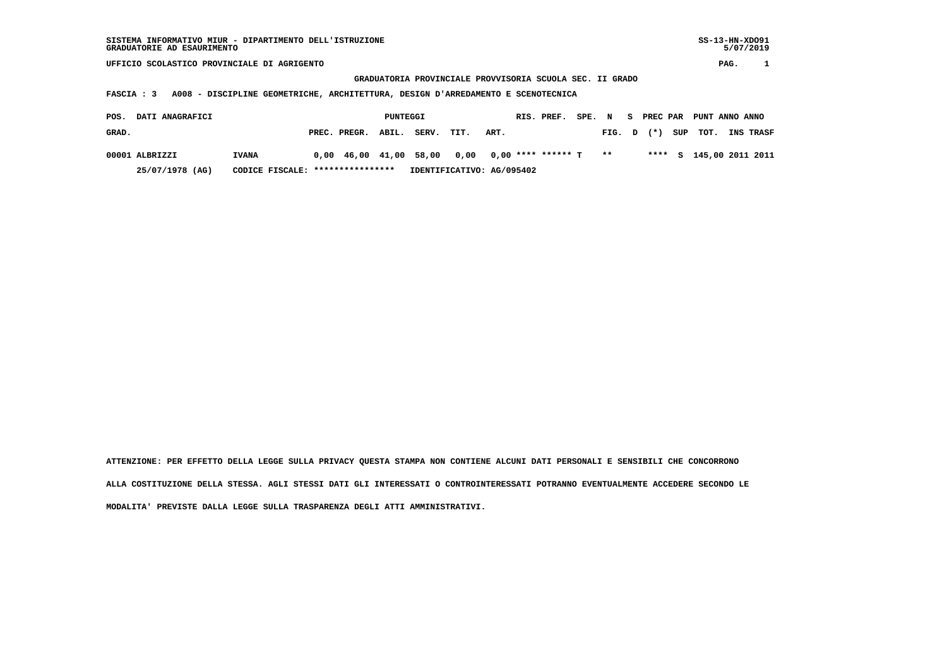**GRADUATORIA PROVINCIALE PROVVISORIA SCUOLA SEC. II GRADO**

 **FASCIA : 3 A008 - DISCIPLINE GEOMETRICHE, ARCHITETTURA, DESIGN D'ARREDAMENTO E SCENOTECNICA**

| POS.  | <b>DATI ANAGRAFICI</b> |                                  |              | PUNTEGGI |                                                                                                                      |      |      | RIS. PREF. | SPE. N |        | <b>PREC PAR</b> |     | PUNT ANNO ANNO |                         |
|-------|------------------------|----------------------------------|--------------|----------|----------------------------------------------------------------------------------------------------------------------|------|------|------------|--------|--------|-----------------|-----|----------------|-------------------------|
| GRAD. |                        |                                  | PREC. PREGR. | ABIL.    | SERV.                                                                                                                | TIT. | ART. |            |        | FIG. D | $(\star)$       | SUP | тот.           | <b>INS TRASF</b>        |
|       | 00001 ALBRIZZI         | <b>IVANA</b>                     |              |          | $0.00 \quad 46.00 \quad 41.00 \quad 58.00 \quad 0.00 \quad 0.00 \quad *** \quad *** \quad * \quad T \quad * \quad *$ |      |      |            |        |        |                 |     |                | **** S 145,00 2011 2011 |
|       | 25/07/1978 (AG)        | CODICE FISCALE: **************** |              |          | IDENTIFICATIVO: AG/095402                                                                                            |      |      |            |        |        |                 |     |                |                         |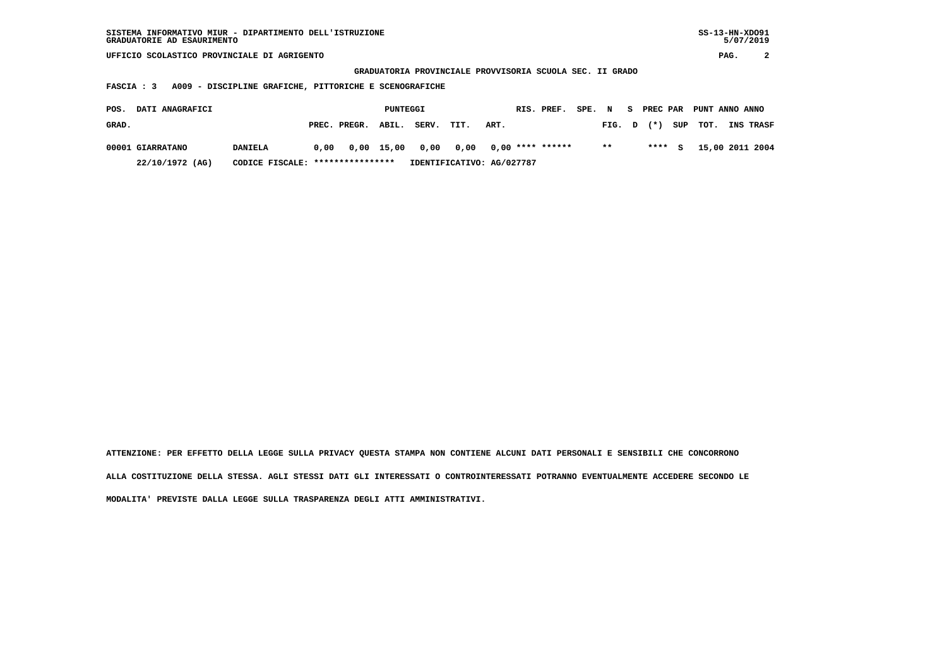| SISTEMA INFORMATIVO MIUR - DIPARTIMENTO DELL'ISTRUZIONE | $SS-13-HN-XDO91$ |
|---------------------------------------------------------|------------------|
| GRADUATORIE AD ESAURIMENTO                              | 5/07/2019        |

 **GRADUATORIA PROVINCIALE PROVVISORIA SCUOLA SEC. II GRADO**

 **FASCIA : 3 A009 - DISCIPLINE GRAFICHE, PITTORICHE E SCENOGRAFICHE**

| POS.  | <b>DATI ANAGRAFICI</b> |                                  |      |                    | PUNTEGGI |       |                                       |      | RIS. PREF. | SPE. N |              |        | S PREC PAR PUNT ANNO ANNO |                  |
|-------|------------------------|----------------------------------|------|--------------------|----------|-------|---------------------------------------|------|------------|--------|--------------|--------|---------------------------|------------------|
| GRAD. |                        |                                  |      | PREC. PREGR. ABIL. |          | SERV. | TIT.                                  | ART. |            |        | FIG. D       | $(*)$  | SUP TOT.                  | <b>INS TRASF</b> |
|       | 00001 GIARRATANO       | <b>DANIELA</b>                   | 0.00 |                    |          |       | 0,00 15,00 0,00 0,00 0,00 **** ****** |      |            |        | $\star\star$ | **** S |                           | 15,00 2011 2004  |
|       | 22/10/1972 (AG)        | CODICE FISCALE: **************** |      |                    |          |       | IDENTIFICATIVO: AG/027787             |      |            |        |              |        |                           |                  |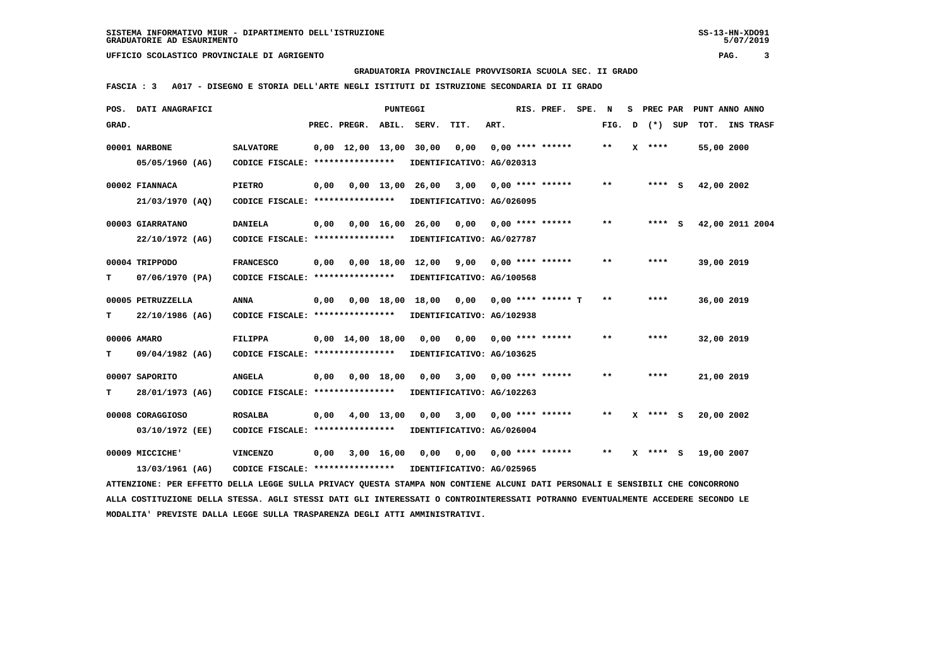## **GRADUATORIA PROVINCIALE PROVVISORIA SCUOLA SEC. II GRADO**

 **FASCIA : 3 A017 - DISEGNO E STORIA DELL'ARTE NEGLI ISTITUTI DI ISTRUZIONE SECONDARIA DI II GRADO**

| POS.  | DATI ANAGRAFICI                                                                                                               |                                                       |      |                                            | PUNTEGGI     |                                           |                                                                         |      | RIS. PREF.              | SPE. | N     | s | PREC PAR     |            | PUNT ANNO ANNO  |  |
|-------|-------------------------------------------------------------------------------------------------------------------------------|-------------------------------------------------------|------|--------------------------------------------|--------------|-------------------------------------------|-------------------------------------------------------------------------|------|-------------------------|------|-------|---|--------------|------------|-----------------|--|
| GRAD. |                                                                                                                               |                                                       |      | PREC. PREGR. ABIL. SERV.                   |              |                                           | TIT.                                                                    | ART. |                         |      | FIG.  | D | (*) SUP      |            | TOT. INS TRASF  |  |
|       | 00001 NARBONE<br>05/05/1960 (AG)                                                                                              | <b>SALVATORE</b><br>CODICE FISCALE: ****************  |      | $0,00 \quad 12,00 \quad 13,00 \quad 30,00$ |              |                                           | 0,00<br>IDENTIFICATIVO: AG/020313                                       |      | $0.00$ **** ******      |      | $* *$ |   | $X$ ****     | 55,00 2000 |                 |  |
|       | 00002 FIANNACA<br>21/03/1970 (AQ)                                                                                             | <b>PIETRO</b><br>CODICE FISCALE: *****************    | 0,00 |                                            | $0.00$ 13.00 |                                           | 26,00 3,00<br>IDENTIFICATIVO: AG/026095                                 |      | 0,00 **** ******        |      | $**$  |   | **** S       | 42,00 2002 |                 |  |
|       | 00003 GIARRATANO<br>22/10/1972 (AG)                                                                                           | <b>DANIELA</b><br>CODICE FISCALE: *****************   | 0,00 |                                            |              | $0.00 \quad 16.00 \quad 26.00 \quad 0.00$ | IDENTIFICATIVO: AG/027787                                               |      | $0.00$ **** ******      |      | $**$  |   | $***$ S      |            | 42,00 2011 2004 |  |
| т     | 00004 TRIPPODO<br>07/06/1970 (PA)                                                                                             | <b>FRANCESCO</b><br>CODICE FISCALE: ***************** | 0,00 |                                            |              |                                           | $0,00$ 18,00 12,00 9,00 0,00 **** ******<br>IDENTIFICATIVO: AG/100568   |      |                         |      | $***$ |   | ****         | 39,00 2019 |                 |  |
| т     | 00005 PETRUZZELLA<br>22/10/1986 (AG)                                                                                          | <b>ANNA</b><br>CODICE FISCALE: ****************       | 0,00 |                                            |              |                                           | $0,00$ 18,00 18,00 0,00 0,00 **** ****** T<br>IDENTIFICATIVO: AG/102938 |      |                         |      | $**$  |   | ****         | 36,00 2019 |                 |  |
| т     | 00006 AMARO<br>09/04/1982 (AG)                                                                                                | <b>FILIPPA</b><br>CODICE FISCALE: ****************    |      | $0.00 \quad 14.00 \quad 18.00$             |              | 0.00                                      | 0,00<br>IDENTIFICATIVO: AG/103625                                       |      | $0.00$ **** ******      |      | $* *$ |   | ****         | 32,00 2019 |                 |  |
| т     | 00007 SAPORITO<br>28/01/1973 (AG)                                                                                             | <b>ANGELA</b><br>CODICE FISCALE: ****************     | 0,00 |                                            | 0.00 18.00   | 0,00                                      | IDENTIFICATIVO: AG/102263                                               |      | $3,00$ 0,00 **** ****** |      | $**$  |   | ****         | 21,00 2019 |                 |  |
|       | 00008 CORAGGIOSO<br>03/10/1972 (EE)                                                                                           | <b>ROSALBA</b><br>CODICE FISCALE: ****************    | 0,00 |                                            | 4,00 13,00   |                                           | $0,00$ $3,00$<br>IDENTIFICATIVO: AG/026004                              |      | $0.00$ **** ******      |      | $***$ |   | $X$ **** S   | 20,00 2002 |                 |  |
|       | 00009 MICCICHE'<br>13/03/1961 (AG)                                                                                            | <b>VINCENZO</b><br>CODICE FISCALE: ****************   | 0,00 |                                            | 3,00 16,00   | 0,00                                      | 0,00<br>IDENTIFICATIVO: AG/025965                                       |      | $0,00$ **** ******      |      | $***$ |   | $X$ **** $S$ | 19,00 2007 |                 |  |
|       | ATTENZIONE: PER EFFETTO DELLA LEGGE SULLA PRIVACY QUESTA STAMPA NON CONTIENE ALCUNI DATI PERSONALI E SENSIBILI CHE CONCORRONO |                                                       |      |                                            |              |                                           |                                                                         |      |                         |      |       |   |              |            |                 |  |

 **ALLA COSTITUZIONE DELLA STESSA. AGLI STESSI DATI GLI INTERESSATI O CONTROINTERESSATI POTRANNO EVENTUALMENTE ACCEDERE SECONDO LE MODALITA' PREVISTE DALLA LEGGE SULLA TRASPARENZA DEGLI ATTI AMMINISTRATIVI.**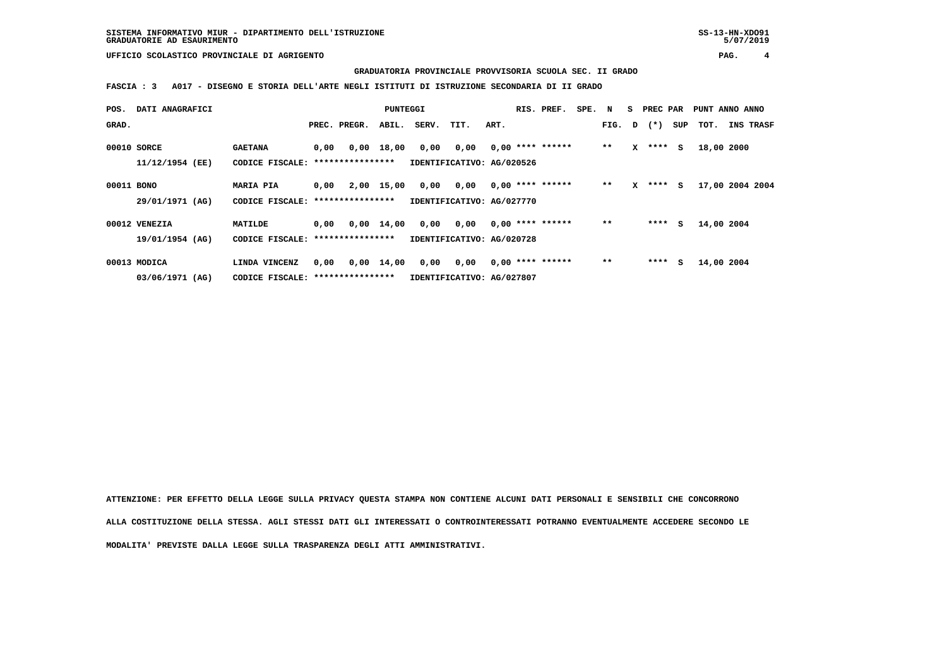**GRADUATORIA PROVINCIALE PROVVISORIA SCUOLA SEC. II GRADO**

 **FASCIA : 3 A017 - DISEGNO E STORIA DELL'ARTE NEGLI ISTITUTI DI ISTRUZIONE SECONDARIA DI II GRADO**

| POS.       | DATI ANAGRAFICI |                                   |      |                  | PUNTEGGI     |       |                           |      | RIS. PREF.         | SPE. | N     | s | PREC PAR     |     | PUNT ANNO ANNO |                 |
|------------|-----------------|-----------------------------------|------|------------------|--------------|-------|---------------------------|------|--------------------|------|-------|---|--------------|-----|----------------|-----------------|
| GRAD.      |                 |                                   |      | PREC. PREGR.     | ABIL.        | SERV. | TIT.                      | ART. |                    |      |       |   | FIG. D $(*)$ | SUP | тот.           | INS TRASF       |
|            | 00010 SORCE     | <b>GAETANA</b>                    | 0,00 |                  | $0,00$ 18,00 | 0,00  | 0,00                      |      | $0,00$ **** ****** |      | $***$ | x | ****         | s   | 18,00 2000     |                 |
|            | 11/12/1954 (EE) | CODICE FISCALE:                   |      | **************** |              |       | IDENTIFICATIVO: AG/020526 |      |                    |      |       |   |              |     |                |                 |
| 00011 BONO |                 | <b>MARIA PIA</b>                  | 0.00 |                  | 2,00 15,00   | 0,00  | 0,00                      |      | $0,00$ **** ****** |      | $***$ | x | ****         | s   |                | 17,00 2004 2004 |
|            | 29/01/1971 (AG) | CODICE FISCALE: ***************** |      |                  |              |       | IDENTIFICATIVO: AG/027770 |      |                    |      |       |   |              |     |                |                 |
|            | 00012 VENEZIA   | MATILDE                           | 0,00 |                  | $0,00$ 14,00 | 0,00  | 0,00                      |      | $0.00$ **** ****** |      | $* *$ |   | ****         | s   | 14,00 2004     |                 |
|            | 19/01/1954 (AG) | CODICE FISCALE: ****************  |      |                  |              |       | IDENTIFICATIVO: AG/020728 |      |                    |      |       |   |              |     |                |                 |
|            | 00013 MODICA    | LINDA VINCENZ                     | 0,00 |                  | $0,00$ 14,00 | 0,00  | 0,00                      |      | $0,00$ **** ****** |      | $* *$ |   | ****         | s   | 14,00 2004     |                 |
|            | 03/06/1971 (AG) | CODICE FISCALE: ***************** |      |                  |              |       | IDENTIFICATIVO: AG/027807 |      |                    |      |       |   |              |     |                |                 |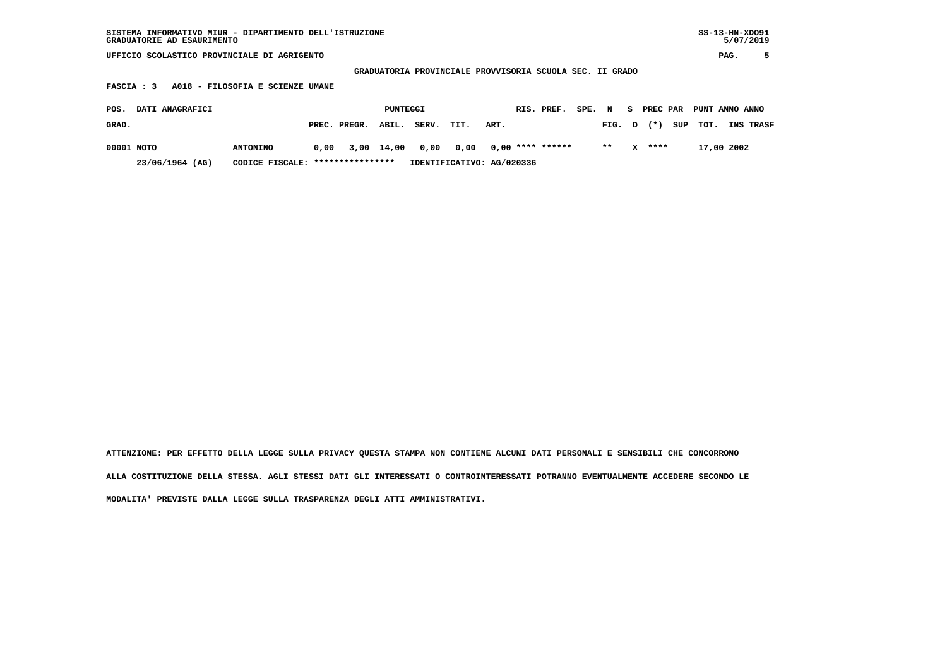| SISTEMA INFORMATIVO MIUR - DIPARTIMENTO DELL'ISTRUZIONE<br>GRADUATORIE AD ESAURIMENTO |                                  |            |       |                           |                                                          |        |                       |               |      | $SS-13-HN-XDO91$<br>5/07/2019 |
|---------------------------------------------------------------------------------------|----------------------------------|------------|-------|---------------------------|----------------------------------------------------------|--------|-----------------------|---------------|------|-------------------------------|
| UFFICIO SCOLASTICO PROVINCIALE DI AGRIGENTO                                           |                                  |            |       |                           |                                                          |        |                       |               |      | 5<br>PAG.                     |
|                                                                                       |                                  |            |       |                           | GRADUATORIA PROVINCIALE PROVVISORIA SCUOLA SEC. II GRADO |        |                       |               |      |                               |
| A018 - FILOSOFIA E SCIENZE UMANE<br>FASCIA : 3                                        |                                  |            |       |                           |                                                          |        |                       |               |      |                               |
| DATI ANAGRAFICI<br>POS.                                                               |                                  | PUNTEGGI   |       |                           | RIS. PREF.                                               | SPE. N | S.                    | PREC PAR      |      | PUNT ANNO ANNO                |
| GRAD.                                                                                 | PREC. PREGR.                     | ABIL.      | SERV. | TIT.<br>ART.              |                                                          |        | FIG. D                | $(* )$<br>SUP | TOT. | INS TRASF                     |
| 00001 NOTO<br><b>ANTONINO</b>                                                         | 0.00                             | 3,00 14,00 | 0,00  | 0,00                      | $0.00$ **** ******                                       |        | $***$<br>$\mathbf{x}$ | ****          |      | 17,00 2002                    |
| 23/06/1964 (AG)                                                                       | CODICE FISCALE: **************** |            |       | IDENTIFICATIVO: AG/020336 |                                                          |        |                       |               |      |                               |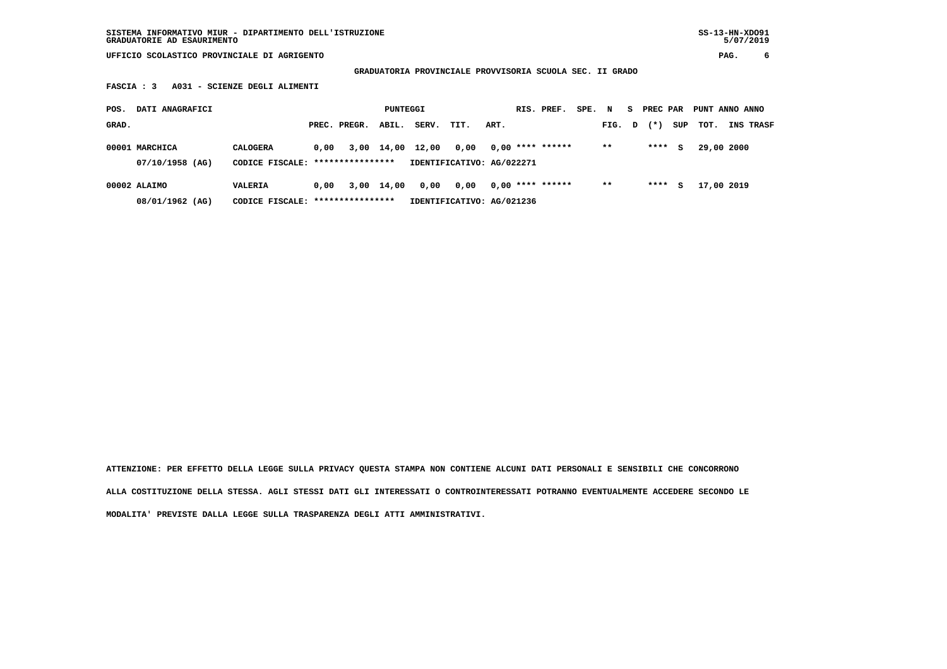**SISTEMA INFORMATIVO MIUR - DIPARTIMENTO DELL'ISTRUZIONE SS-13-HN-XDO91 GRADUATORIE AD ESAURIMENTO 5/07/2019**

 **UFFICIO SCOLASTICO PROVINCIALE DI AGRIGENTO PAG. 6**

 **GRADUATORIA PROVINCIALE PROVVISORIA SCUOLA SEC. II GRADO**

 **FASCIA : 3 A031 - SCIENZE DEGLI ALIMENTI**

| POS.  | DATI ANAGRAFICI                   |                                                     |      |              | PUNTEGGI   |                  |                                   |      | RIS. PREF.         | SPE. N |        | s. | PREC PAR |     | PUNT ANNO ANNO |                  |
|-------|-----------------------------------|-----------------------------------------------------|------|--------------|------------|------------------|-----------------------------------|------|--------------------|--------|--------|----|----------|-----|----------------|------------------|
| GRAD. |                                   |                                                     |      | PREC. PREGR. | ABIL.      | SERV.            | TIT.                              | ART. |                    |        | FIG. D |    | $(* )$   | SUP | TOT.           | <b>INS TRASF</b> |
|       | 00001 MARCHICA<br>07/10/1958 (AG) | <b>CALOGERA</b><br>CODICE FISCALE: **************** | 0.00 |              |            | 3,00 14,00 12,00 | 0.00<br>IDENTIFICATIVO: AG/022271 |      | $0,00$ **** ****** |        | $***$  |    | ****     | s   | 29,00 2000     |                  |
|       | 00002 ALAIMO<br>08/01/1962 (AG)   | VALERIA<br>CODICE FISCALE: *****************        | 0.00 |              | 3,00 14,00 | 0,00             | 0.00<br>IDENTIFICATIVO: AG/021236 |      | $0,00$ **** ****** |        | $* *$  |    | ****     | s   | 17,00 2019     |                  |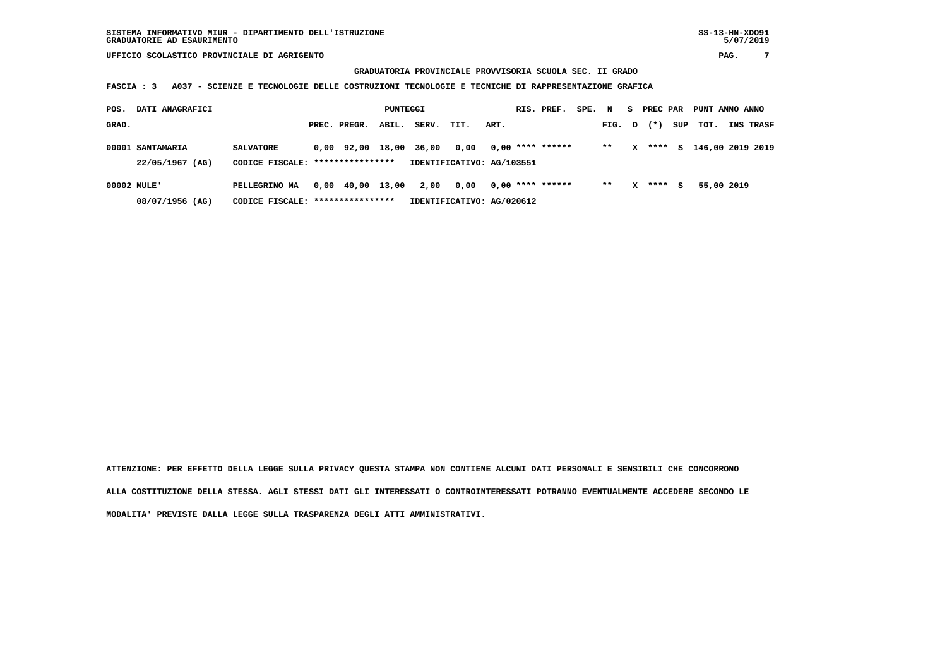$5/07/2019$ 

## **GRADUATORIA PROVINCIALE PROVVISORIA SCUOLA SEC. II GRADO**

 **FASCIA : 3 A037 - SCIENZE E TECNOLOGIE DELLE COSTRUZIONI TECNOLOGIE E TECNICHE DI RAPPRESENTAZIONE GRAFICA**

| POS.        | DATI ANAGRAFICI  |                                  |                  | PUNTEGGI |       |                           |      | RIS. PREF.         | SPE. | N     | s. | PREC PAR |     | PUNT ANNO ANNO   |            |           |
|-------------|------------------|----------------------------------|------------------|----------|-------|---------------------------|------|--------------------|------|-------|----|----------|-----|------------------|------------|-----------|
| GRAD.       |                  |                                  | PREC. PREGR.     | ABIL.    | SERV. | TIT.                      | ART. |                    |      | FIG.  | D  | $(* )$   | SUP | тот.             |            | INS TRASF |
|             | 00001 SANTAMARIA | <b>SALVATORE</b>                 | 0,00 92,00       | 18,00    | 36,00 | 0.00                      |      | $0.00$ **** ****** |      | $**$  | x  | ****     | s   | 146,00 2019 2019 |            |           |
|             | 22/05/1967 (AG)  | CODICE FISCALE: **************** |                  |          |       | IDENTIFICATIVO: AG/103551 |      |                    |      |       |    |          |     |                  |            |           |
| 00002 MULE' |                  | PELLEGRINO MA                    | 0,00 40,00 13,00 |          | 2,00  | 0.00                      |      | $0.00$ **** ****** |      | $* *$ | x  | ****     | s   |                  | 55,00 2019 |           |
|             | 08/07/1956 (AG)  | CODICE FISCALE:                  | **************** |          |       | IDENTIFICATIVO: AG/020612 |      |                    |      |       |    |          |     |                  |            |           |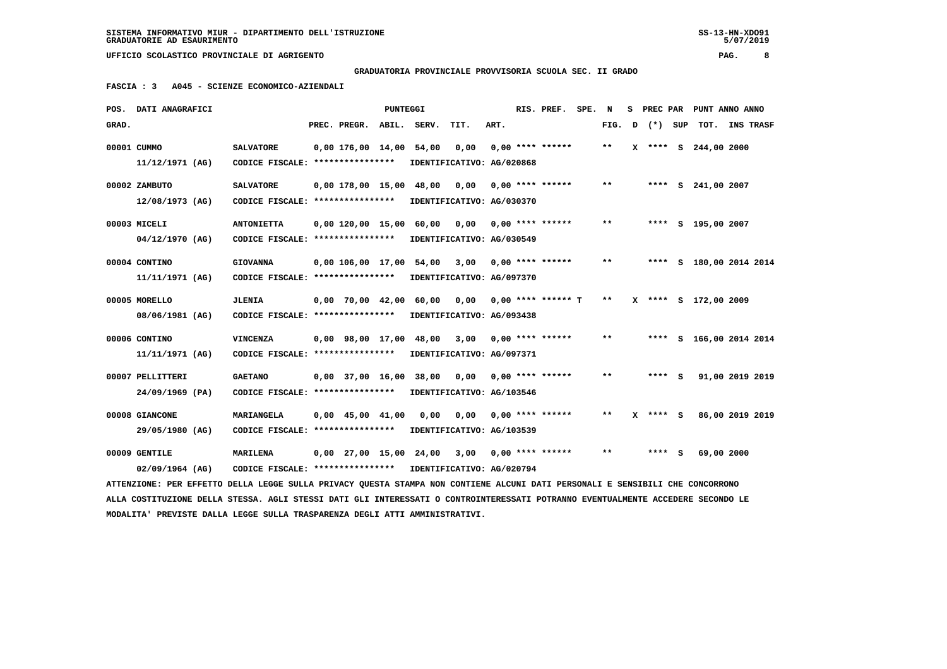**GRADUATORIA PROVINCIALE PROVVISORIA SCUOLA SEC. II GRADO**

 **FASCIA : 3 A045 - SCIENZE ECONOMICO-AZIENDALI**

| POS.  | DATI ANAGRAFICI                                                                                                                 |                                   |                          | PUNTEGGI |                           |      |      | RIS. PREF.           | SPE. N |       | s |        |     |                      | PREC PAR PUNT ANNO ANNO |  |
|-------|---------------------------------------------------------------------------------------------------------------------------------|-----------------------------------|--------------------------|----------|---------------------------|------|------|----------------------|--------|-------|---|--------|-----|----------------------|-------------------------|--|
| GRAD. |                                                                                                                                 |                                   | PREC. PREGR. ABIL.       |          | SERV.                     | TIT. | ART. |                      |        | FIG.  | D | $(*)$  | SUP |                      | TOT. INS TRASF          |  |
|       | 00001 CUMMO                                                                                                                     | <b>SALVATORE</b>                  | 0,00 176,00 14,00 54,00  |          |                           | 0,00 |      | $0.00$ **** ******   |        | $***$ |   |        |     | X **** S 244,00 2000 |                         |  |
|       | 11/12/1971 (AG)                                                                                                                 | CODICE FISCALE: ****************  |                          |          | IDENTIFICATIVO: AG/020868 |      |      |                      |        |       |   |        |     |                      |                         |  |
|       | 00002 ZAMBUTO                                                                                                                   | <b>SALVATORE</b>                  | 0,00 178,00 15,00 48,00  |          |                           | 0,00 |      | $0.00$ **** ******   |        | $**$  |   |        |     | **** S 241,00 2007   |                         |  |
|       | $12/08/1973$ (AG)                                                                                                               | CODICE FISCALE: ***************** |                          |          | IDENTIFICATIVO: AG/030370 |      |      |                      |        |       |   |        |     |                      |                         |  |
|       |                                                                                                                                 |                                   |                          |          |                           |      |      |                      |        |       |   |        |     |                      |                         |  |
|       | 00003 MICELI                                                                                                                    | <b>ANTONIETTA</b>                 | 0,00 120,00 15,00        |          | 60,00                     | 0.00 |      | $0.00$ **** ******   |        | $***$ |   |        |     | **** S 195,00 2007   |                         |  |
|       | 04/12/1970 (AG)                                                                                                                 | CODICE FISCALE: ****************  |                          |          | IDENTIFICATIVO: AG/030549 |      |      |                      |        |       |   |        |     |                      |                         |  |
|       | 00004 CONTINO                                                                                                                   | <b>GIOVANNA</b>                   | 0,00 106,00 17,00 54,00  |          |                           | 3,00 |      | $0.00$ **** ******   |        | $* *$ |   |        |     |                      | **** S 180,00 2014 2014 |  |
|       | 11/11/1971 (AG)                                                                                                                 | CODICE FISCALE: ****************  |                          |          | IDENTIFICATIVO: AG/097370 |      |      |                      |        |       |   |        |     |                      |                         |  |
|       |                                                                                                                                 |                                   |                          |          |                           |      |      |                      |        |       |   |        |     |                      |                         |  |
|       | 00005 MORELLO                                                                                                                   | <b>JLENIA</b>                     | 0,00 70,00 42,00 60,00   |          |                           | 0,00 |      | $0.00$ **** ****** T |        | $* *$ | x |        |     | **** S 172,00 2009   |                         |  |
|       | 08/06/1981 (AG)                                                                                                                 | CODICE FISCALE: ****************  |                          |          | IDENTIFICATIVO: AG/093438 |      |      |                      |        |       |   |        |     |                      |                         |  |
|       | 00006 CONTINO                                                                                                                   | <b>VINCENZA</b>                   | 0,00 98,00 17,00 48,00   |          |                           | 3,00 |      | $0,00$ **** ******   |        | $* *$ |   |        |     |                      | **** S 166,00 2014 2014 |  |
|       | 11/11/1971 (AG)                                                                                                                 | CODICE FISCALE: ****************  |                          |          | IDENTIFICATIVO: AG/097371 |      |      |                      |        |       |   |        |     |                      |                         |  |
|       | 00007 PELLITTERI                                                                                                                | <b>GAETANO</b>                    | $0.00$ 37,00 16,00 38,00 |          |                           | 0.00 |      | $0.00$ **** ******   |        | $**$  |   | **** S |     |                      | 91,00 2019 2019         |  |
|       |                                                                                                                                 |                                   |                          |          |                           |      |      |                      |        |       |   |        |     |                      |                         |  |
|       | 24/09/1969 (PA)                                                                                                                 | CODICE FISCALE: ****************  |                          |          | IDENTIFICATIVO: AG/103546 |      |      |                      |        |       |   |        |     |                      |                         |  |
|       | 00008 GIANCONE                                                                                                                  | MARIANGELA                        | $0,00$ 45,00 41,00       |          | 0.00                      | 0.00 |      | $0.00$ **** ******   |        | $**$  | x | **** S |     |                      | 86,00 2019 2019         |  |
|       | 29/05/1980 (AG)                                                                                                                 | CODICE FISCALE: ****************  |                          |          | IDENTIFICATIVO: AG/103539 |      |      |                      |        |       |   |        |     |                      |                         |  |
|       |                                                                                                                                 |                                   |                          |          |                           |      |      |                      |        |       |   |        |     |                      |                         |  |
|       | 00009 GENTILE                                                                                                                   | <b>MARILENA</b>                   | 0,00 27,00 15,00 24,00   |          |                           | 3,00 |      | $0.00$ **** ******   |        | $**$  |   | $***5$ |     | 69,00 2000           |                         |  |
|       | 02/09/1964 (AG)                                                                                                                 | CODICE FISCALE: ****************  |                          |          | IDENTIFICATIVO: AG/020794 |      |      |                      |        |       |   |        |     |                      |                         |  |
|       | ATTENZIONE: PER EFFETTO DELLA LEGGE SULLA PRIVACY QUESTA STAMPA NON CONTIENE ALCUNI DATI PERSONALI E SENSIBILI CHE CONCORRONO   |                                   |                          |          |                           |      |      |                      |        |       |   |        |     |                      |                         |  |
|       | ALLA COSTITUZIONE DELLA STESSA. AGLI STESSI DATI GLI INTERESSATI O CONTROINTERESSATI POTRANNO EVENTUALMENTE ACCEDERE SECONDO LE |                                   |                          |          |                           |      |      |                      |        |       |   |        |     |                      |                         |  |
|       | MODALITA' PREVISTE DALLA LEGGE SULLA TRASPARENZA DEGLI ATTI AMMINISTRATIVI.                                                     |                                   |                          |          |                           |      |      |                      |        |       |   |        |     |                      |                         |  |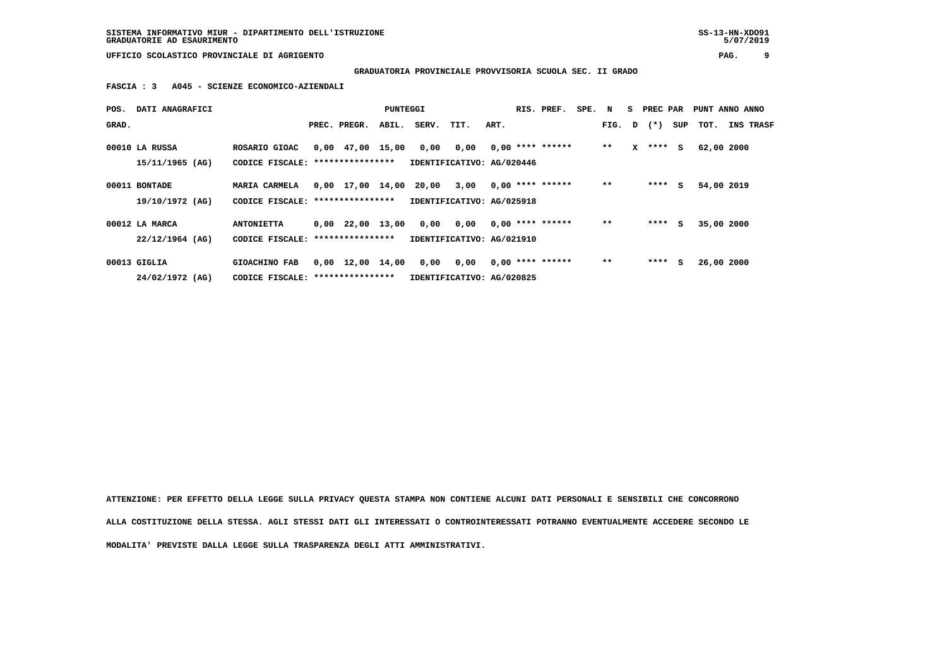**GRADUATORIA PROVINCIALE PROVVISORIA SCUOLA SEC. II GRADO**

 **FASCIA : 3 A045 - SCIENZE ECONOMICO-AZIENDALI**

| POS.  | DATI ANAGRAFICI                   |                                                    |                                | PUNTEGGI |       |                                   |      | RIS. PREF.         | SPE. N |       | S.           | PREC PAR       |     | PUNT ANNO ANNO |                  |
|-------|-----------------------------------|----------------------------------------------------|--------------------------------|----------|-------|-----------------------------------|------|--------------------|--------|-------|--------------|----------------|-----|----------------|------------------|
| GRAD. |                                   |                                                    | PREC. PREGR.                   | ABIL.    | SERV. | TIT.                              | ART. |                    |        |       |              | FIG. $D$ $(*)$ | SUP | тот.           | <b>INS TRASF</b> |
|       | 00010 LA RUSSA<br>15/11/1965 (AG) | ROSARIO GIOAC<br>CODICE FISCALE: ***************** | $0,00$ 47,00 15,00             |          | 0,00  | 0,00<br>IDENTIFICATIVO: AG/020446 |      | $0,00$ **** ****** |        | $* *$ | $\mathbf{x}$ | $***$ S        |     | 62,00 2000     |                  |
|       | 00011 BONTADE<br>19/10/1972 (AG)  | MARIA CARMELA<br>CODICE FISCALE: ***************** | $0,00$ $17,00$ $14,00$         |          | 20,00 | 3,00<br>IDENTIFICATIVO: AG/025918 |      | $0,00$ **** ****** |        | $* *$ |              | $***$ S        |     | 54,00 2019     |                  |
|       | 00012 LA MARCA                    | <b>ANTONIETTA</b>                                  | $0,00$ 22,00 13,00             |          | 0,00  | 0,00                              |      | $0.00$ **** ****** |        | $* *$ |              | ****           | s.  | 35,00 2000     |                  |
|       | $22/12/1964$ (AG)                 | CODICE FISCALE: *****************                  |                                |          |       | IDENTIFICATIVO: AG/021910         |      |                    |        |       |              |                |     |                |                  |
|       | 00013 GIGLIA                      | GIOACHINO FAB                                      | $0,00 \quad 12,00 \quad 14,00$ |          | 0,00  | 0,00                              |      | $0.00$ **** ****** |        | $* *$ |              | ****           | s   | 26,00 2000     |                  |
|       | 24/02/1972 (AG)                   | CODICE FISCALE: *****************                  |                                |          |       | IDENTIFICATIVO: AG/020825         |      |                    |        |       |              |                |     |                |                  |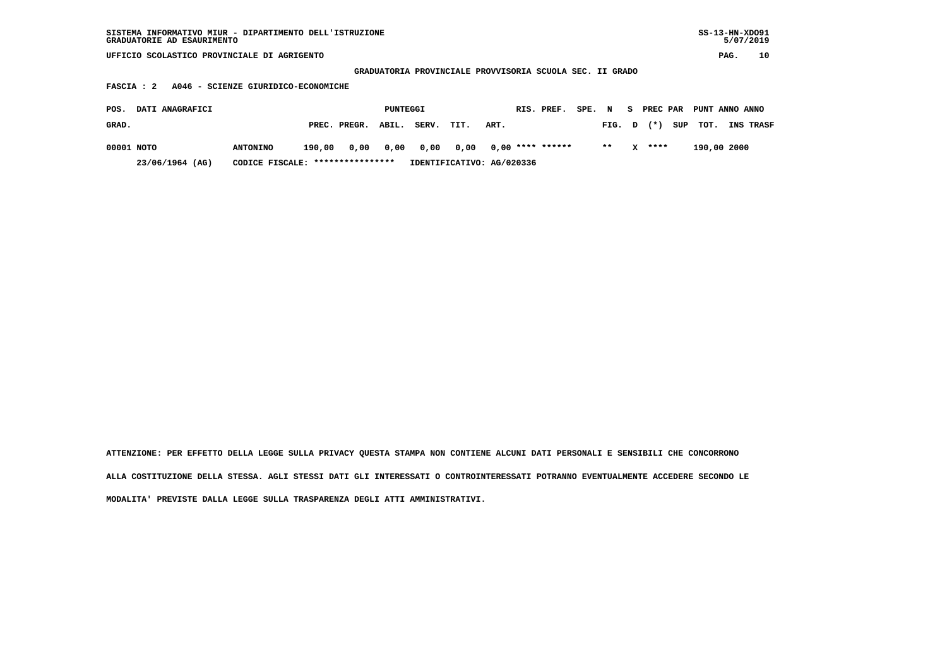| SISTEMA INFORMATIVO MIUR - DIPARTIMENTO DELL'ISTRUZIONE<br>GRADUATORIE AD ESAURIMENTO |                                     |        |              |          |       |                                            |      |                    |        |               |    |          |     |                |      | $SS-13-HN-XDO91$<br>5/07/2019 |
|---------------------------------------------------------------------------------------|-------------------------------------|--------|--------------|----------|-------|--------------------------------------------|------|--------------------|--------|---------------|----|----------|-----|----------------|------|-------------------------------|
| UFFICIO SCOLASTICO PROVINCIALE DI AGRIGENTO                                           |                                     |        |              |          |       |                                            |      |                    |        |               |    |          |     |                | PAG. | 10                            |
|                                                                                       |                                     |        |              |          |       | GRADUATORIA PROVINCIALE PROVVISORIA SCUOLA |      |                    |        | SEC. II GRADO |    |          |     |                |      |                               |
| FASCIA : 2                                                                            | A046 - SCIENZE GIURIDICO-ECONOMICHE |        |              |          |       |                                            |      |                    |        |               |    |          |     |                |      |                               |
| DATI ANAGRAFICI<br>POS.                                                               |                                     |        |              | PUNTEGGI |       |                                            |      | RIS. PREF.         | SPE. N |               | S. | PREC PAR |     | PUNT ANNO ANNO |      |                               |
| GRAD.                                                                                 |                                     |        | PREC. PREGR. | ABIL.    | SERV. | TIT.                                       | ART. |                    |        | FIG.          | D  | $(*)$    | SUP | TOT.           |      | INS TRASF                     |
| 00001 NOTO                                                                            | <b>ANTONINO</b>                     | 190,00 | 0,00         | 0,00     | 0,00  | 0,00                                       |      | $0,00$ **** ****** |        | $**$          | x  | ****     |     | 190,00 2000    |      |                               |
| 23/06/1964 (AG)                                                                       | CODICE FISCALE: ****************    |        |              |          |       | IDENTIFICATIVO: AG/020336                  |      |                    |        |               |    |          |     |                |      |                               |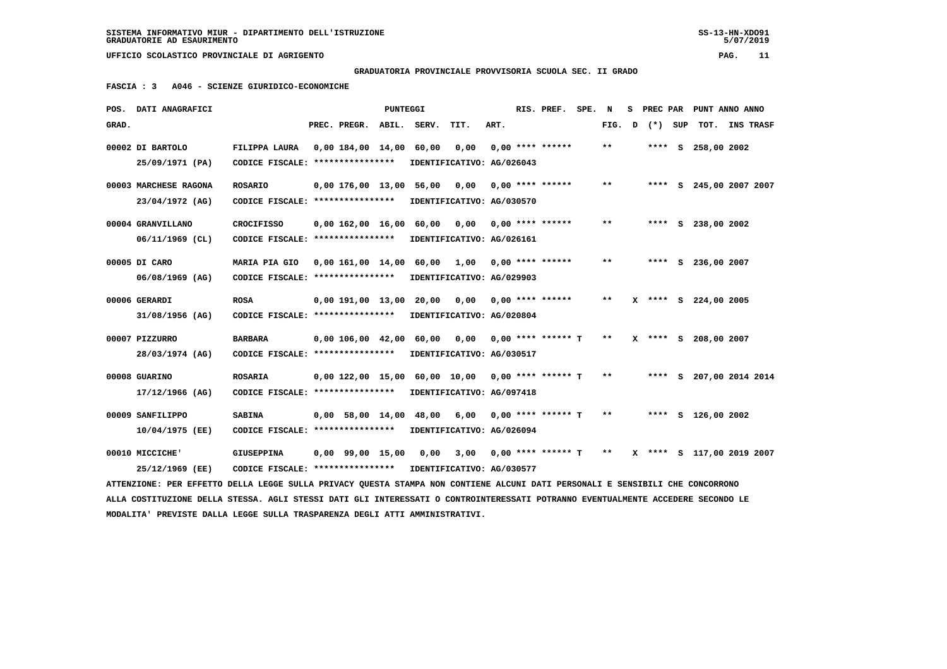**GRADUATORIA PROVINCIALE PROVVISORIA SCUOLA SEC. II GRADO**

 **FASCIA : 3 A046 - SCIENZE GIURIDICO-ECONOMICHE**

|       | POS. DATI ANAGRAFICI                                                                                                            |                                   |                         | PUNTEGGI |                               |                           |      | RIS. PREF.           | SPE. | N            | s | PREC PAR |     | PUNT ANNO ANNO            |           |
|-------|---------------------------------------------------------------------------------------------------------------------------------|-----------------------------------|-------------------------|----------|-------------------------------|---------------------------|------|----------------------|------|--------------|---|----------|-----|---------------------------|-----------|
| GRAD. |                                                                                                                                 |                                   | PREC. PREGR.            | ABIL.    | SERV.                         | TIT.                      | ART. |                      |      | FIG.         | D | $(* )$   | SUP | TOT.                      | INS TRASF |
|       | 00002 DI BARTOLO                                                                                                                | FILIPPA LAURA                     | 0,00 184,00 14,00       |          | 60,00                         | 0,00                      |      | $0.00$ **** ******   |      | $***$        |   | $***$ S  |     | 258,00 2002               |           |
|       | 25/09/1971 (PA)                                                                                                                 | CODICE FISCALE: ****************  |                         |          |                               | IDENTIFICATIVO: AG/026043 |      |                      |      |              |   |          |     |                           |           |
|       |                                                                                                                                 |                                   |                         |          |                               |                           |      |                      |      |              |   |          |     |                           |           |
|       | 00003 MARCHESE RAGONA                                                                                                           | <b>ROSARIO</b>                    | 0,00 176,00 13,00 56,00 |          |                               | 0,00                      |      | $0.00$ **** ******   |      | $* *$        |   |          |     | **** S 245,00 2007 2007   |           |
|       | 23/04/1972 (AG)                                                                                                                 | CODICE FISCALE: ****************  |                         |          |                               | IDENTIFICATIVO: AG/030570 |      |                      |      |              |   |          |     |                           |           |
|       | 00004 GRANVILLANO                                                                                                               | <b>CROCIFISSO</b>                 | 0.00 162.00 16.00       |          | 60,00                         | 0.00                      |      | $0,00$ **** ******   |      | $\star\star$ |   |          | s   | 238,00 2002               |           |
|       | 06/11/1969 (CL)                                                                                                                 | CODICE FISCALE: ****************  |                         |          |                               | IDENTIFICATIVO: AG/026161 |      |                      |      |              |   |          |     |                           |           |
|       |                                                                                                                                 |                                   |                         |          |                               |                           |      |                      |      |              |   |          |     |                           |           |
|       | 00005 DI CARO                                                                                                                   | MARIA PIA GIO                     | 0,00 161,00 14,00 60,00 |          |                               | 1,00                      |      | $0.00$ **** ******   |      | $* *$        |   |          |     | **** S 236,00 2007        |           |
|       | 06/08/1969 (AG)                                                                                                                 | CODICE FISCALE: ****************  |                         |          |                               | IDENTIFICATIVO: AG/029903 |      |                      |      |              |   |          |     |                           |           |
|       | 00006 GERARDI                                                                                                                   | <b>ROSA</b>                       | 0,00 191,00 13,00       |          | 20,00                         | 0.00                      |      | $0.00$ **** ******   |      | * *          |   |          |     | X **** S 224,00 2005      |           |
|       | 31/08/1956 (AG)                                                                                                                 | CODICE FISCALE: ****************  |                         |          |                               | IDENTIFICATIVO: AG/020804 |      |                      |      |              |   |          |     |                           |           |
|       |                                                                                                                                 |                                   |                         |          |                               |                           |      |                      |      |              |   |          |     |                           |           |
|       | 00007 PIZZURRO                                                                                                                  | <b>BARBARA</b>                    | 0,00 106,00 42,00       |          | 60,00                         | 0,00                      |      | $0.00$ **** ****** T |      | $* *$        |   |          |     | X **** S 208,00 2007      |           |
|       | 28/03/1974 (AG)                                                                                                                 | CODICE FISCALE: ****************  |                         |          |                               | IDENTIFICATIVO: AG/030517 |      |                      |      |              |   |          |     |                           |           |
|       | 00008 GUARINO                                                                                                                   | <b>ROSARIA</b>                    |                         |          | 0,00 122,00 15,00 60,00 10,00 |                           |      | $0.00$ **** ****** T |      | $***$        |   |          |     | **** S 207,00 2014 2014   |           |
|       | 17/12/1966 (AG)                                                                                                                 | CODICE FISCALE: ****************  |                         |          |                               | IDENTIFICATIVO: AG/097418 |      |                      |      |              |   |          |     |                           |           |
|       |                                                                                                                                 |                                   |                         |          |                               |                           |      |                      |      |              |   |          |     |                           |           |
|       | 00009 SANFILIPPO                                                                                                                | <b>SABINA</b>                     | $0,00$ 58,00 14,00      |          | 48,00                         | 6,00                      |      | $0.00$ **** ****** T |      | $***$        |   |          |     | **** S 126,00 2002        |           |
|       | $10/04/1975$ (EE)                                                                                                               | CODICE FISCALE: ***************** |                         |          |                               | IDENTIFICATIVO: AG/026094 |      |                      |      |              |   |          |     |                           |           |
|       | 00010 MICCICHE'                                                                                                                 | <b>GIUSEPPINA</b>                 | 0,00 99,00 15,00        |          | 0,00                          | 3,00                      |      | $0,00$ **** ****** T |      | $***$        |   |          |     | X **** S 117,00 2019 2007 |           |
|       | 25/12/1969 (EE)                                                                                                                 | CODICE FISCALE: ****************  |                         |          |                               | IDENTIFICATIVO: AG/030577 |      |                      |      |              |   |          |     |                           |           |
|       | ATTENZIONE: PER EFFETTO DELLA LEGGE SULLA PRIVACY QUESTA STAMPA NON CONTIENE ALCUNI DATI PERSONALI E SENSIBILI CHE CONCORRONO   |                                   |                         |          |                               |                           |      |                      |      |              |   |          |     |                           |           |
|       | ALLA COSTITUZIONE DELLA STESSA. AGLI STESSI DATI GLI INTERESSATI O CONTROINTERESSATI POTRANNO EVENTUALMENTE ACCEDERE SECONDO LE |                                   |                         |          |                               |                           |      |                      |      |              |   |          |     |                           |           |
|       | MODALITA' PREVISTE DALLA LEGGE SULLA TRASPARENZA DEGLI ATTI AMMINISTRATIVI.                                                     |                                   |                         |          |                               |                           |      |                      |      |              |   |          |     |                           |           |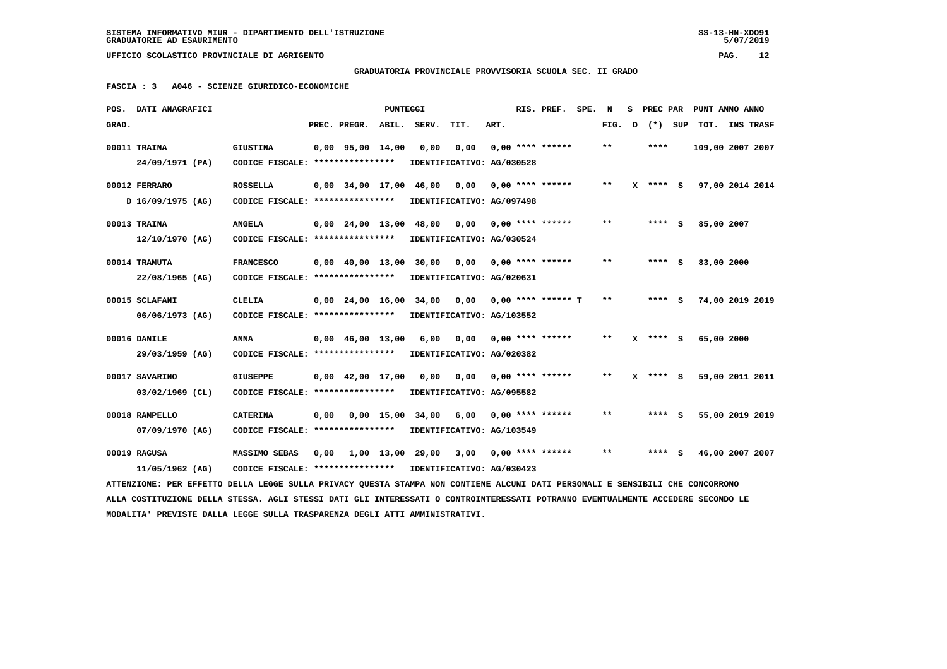**GRADUATORIA PROVINCIALE PROVVISORIA SCUOLA SEC. II GRADO**

 **FASCIA : 3 A046 - SCIENZE GIURIDICO-ECONOMICHE**

|       | POS. DATI ANAGRAFICI                                                                                                            |                                                            |      |                                | <b>PUNTEGGI</b> |                              |      |      | RIS. PREF.           | SPE. | N            | s | PREC PAR |     | PUNT ANNO ANNO   |                  |  |
|-------|---------------------------------------------------------------------------------------------------------------------------------|------------------------------------------------------------|------|--------------------------------|-----------------|------------------------------|------|------|----------------------|------|--------------|---|----------|-----|------------------|------------------|--|
| GRAD. |                                                                                                                                 |                                                            |      | PREC. PREGR.                   | ABIL.           | SERV.                        | TIT. | ART. |                      |      | FIG.         | D | $(*)$    | SUP | TOT.             | <b>INS TRASF</b> |  |
|       | 00011 TRAINA                                                                                                                    | <b>GIUSTINA</b>                                            |      | $0,00$ 95,00 14,00             |                 | 0,00                         | 0,00 |      | $0.00$ **** ******   |      | * *          |   | ****     |     | 109,00 2007 2007 |                  |  |
|       | 24/09/1971 (PA)                                                                                                                 | CODICE FISCALE: ****************                           |      |                                |                 | IDENTIFICATIVO: AG/030528    |      |      |                      |      |              |   |          |     |                  |                  |  |
|       | 00012 FERRARO                                                                                                                   | <b>ROSSELLA</b>                                            |      |                                |                 | 0,00 34,00 17,00 46,00       | 0.00 |      | $0.00$ **** ******   |      | **           |   | X **** S |     | 97,00 2014 2014  |                  |  |
|       | D 16/09/1975 (AG)                                                                                                               | CODICE FISCALE: ****************                           |      |                                |                 | IDENTIFICATIVO: AG/097498    |      |      |                      |      |              |   |          |     |                  |                  |  |
|       |                                                                                                                                 |                                                            |      |                                |                 |                              |      |      |                      |      |              |   |          |     |                  |                  |  |
|       | 00013 TRAINA                                                                                                                    | <b>ANGELA</b>                                              |      | $0.00 \quad 24.00 \quad 13.00$ |                 | 48,00                        | 0,00 |      | $0.00$ **** ******   |      | $* *$        |   | $***$ S  |     | 85,00 2007       |                  |  |
|       | 12/10/1970 (AG)                                                                                                                 | CODICE FISCALE: *****************                          |      |                                |                 | IDENTIFICATIVO: AG/030524    |      |      |                      |      |              |   |          |     |                  |                  |  |
|       | 00014 TRAMUTA                                                                                                                   | <b>FRANCESCO</b>                                           |      |                                |                 | 0,00 40,00 13,00 30,00 0,00  |      |      | $0.00$ **** ******   |      | **           |   | $***$ S  |     | 83,00 2000       |                  |  |
|       | 22/08/1965 (AG)                                                                                                                 | CODICE FISCALE: ****************                           |      |                                |                 | IDENTIFICATIVO: AG/020631    |      |      |                      |      |              |   |          |     |                  |                  |  |
|       |                                                                                                                                 |                                                            |      |                                |                 |                              |      |      |                      |      |              |   |          |     |                  |                  |  |
|       | 00015 SCLAFANI                                                                                                                  | <b>CLELIA</b>                                              |      | $0.00 \quad 24.00 \quad 16.00$ |                 | 34,00                        | 0,00 |      | $0.00$ **** ****** T |      | $\star\star$ |   | $***$ S  |     | 74,00 2019 2019  |                  |  |
|       | 06/06/1973 (AG)                                                                                                                 | CODICE FISCALE: ****************                           |      |                                |                 | IDENTIFICATIVO: AG/103552    |      |      |                      |      |              |   |          |     |                  |                  |  |
|       | 00016 DANILE                                                                                                                    | <b>ANNA</b>                                                |      | $0,00$ 46,00 13,00             |                 | 6,00                         | 0,00 |      | $0.00$ **** ******   |      | $* *$        |   | **** S   |     | 65,00 2000       |                  |  |
|       | 29/03/1959 (AG)                                                                                                                 | CODICE FISCALE: ****************                           |      |                                |                 | IDENTIFICATIVO: AG/020382    |      |      |                      |      |              |   |          |     |                  |                  |  |
|       |                                                                                                                                 |                                                            |      |                                |                 |                              |      |      |                      |      |              |   |          |     |                  |                  |  |
|       | 00017 SAVARINO                                                                                                                  | <b>GIUSEPPE</b>                                            |      | $0.00 \quad 42.00 \quad 17.00$ |                 | 0.00                         | 0.00 |      | $0.00$ **** ******   |      | $* *$        |   | **** S   |     | 59,00 2011 2011  |                  |  |
|       | $03/02/1969$ (CL)                                                                                                               | CODICE FISCALE: ****************                           |      |                                |                 | IDENTIFICATIVO: AG/095582    |      |      |                      |      |              |   |          |     |                  |                  |  |
|       | 00018 RAMPELLO                                                                                                                  | <b>CATERINA</b>                                            | 0,00 |                                | $0,00$ 15,00    | 34,00                        | 6,00 |      | $0.00$ **** ******   |      | $* *$        |   | **** S   |     | 55,00 2019 2019  |                  |  |
|       | 07/09/1970 (AG)                                                                                                                 | CODICE FISCALE: ****************                           |      |                                |                 | IDENTIFICATIVO: AG/103549    |      |      |                      |      |              |   |          |     |                  |                  |  |
|       |                                                                                                                                 |                                                            |      |                                |                 |                              |      |      |                      |      |              |   |          |     |                  |                  |  |
|       | 00019 RAGUSA                                                                                                                    | MASSIMO SEBAS                                              |      |                                |                 | $0.00$ 1.00 13.00 29.00 3.00 |      |      | $0.00$ **** ******   |      | $* *$        |   | $***$ S  |     | 46,00 2007 2007  |                  |  |
|       | 11/05/1962 (AG)                                                                                                                 | CODICE FISCALE: **************** IDENTIFICATIVO: AG/030423 |      |                                |                 |                              |      |      |                      |      |              |   |          |     |                  |                  |  |
|       | ATTENZIONE: PER EFFETTO DELLA LEGGE SULLA PRIVACY OUESTA STAMPA NON CONTIENE ALCUNI DATI PERSONALI E SENSIBILI CHE CONCORRONO   |                                                            |      |                                |                 |                              |      |      |                      |      |              |   |          |     |                  |                  |  |
|       | ALLA COSTITUZIONE DELLA STESSA. AGLI STESSI DATI GLI INTERESSATI O CONTROINTERESSATI POTRANNO EVENTUALMENTE ACCEDERE SECONDO LE |                                                            |      |                                |                 |                              |      |      |                      |      |              |   |          |     |                  |                  |  |
|       | MODALITA' PREVISTE DALLA LEGGE SULLA TRASPARENZA DEGLI ATTI AMMINISTRATIVI.                                                     |                                                            |      |                                |                 |                              |      |      |                      |      |              |   |          |     |                  |                  |  |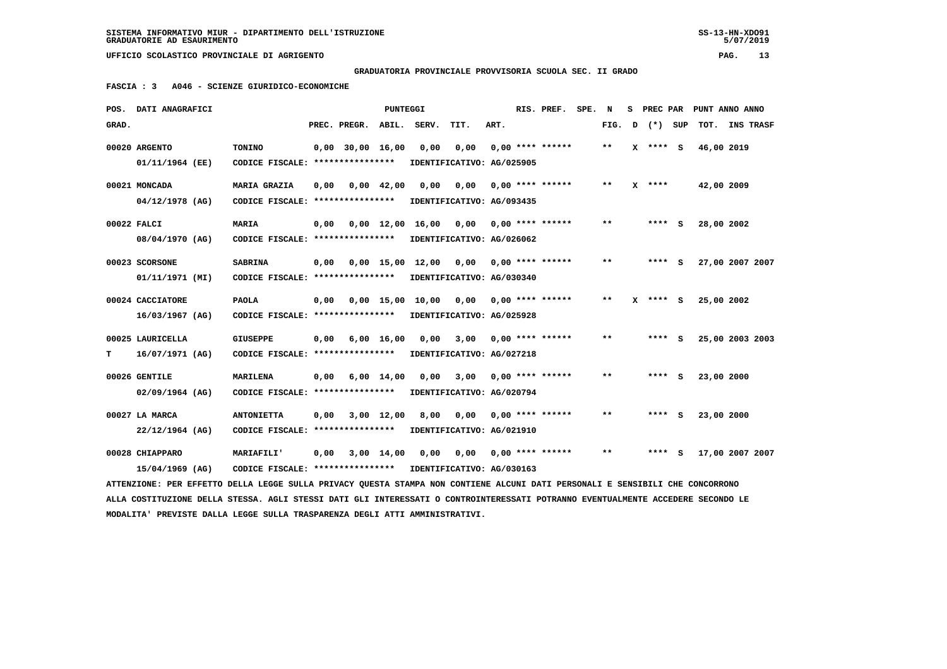## **GRADUATORIA PROVINCIALE PROVVISORIA SCUOLA SEC. II GRADO**

 **FASCIA : 3 A046 - SCIENZE GIURIDICO-ECONOMICHE**

|       | POS. DATI ANAGRAFICI                                                                                                            |                                                            |      |                    | PUNTEGGI           |                       |                           |      | RIS. PREF.         | SPE. | N            | s | PREC PAR | PUNT ANNO ANNO  |                  |  |
|-------|---------------------------------------------------------------------------------------------------------------------------------|------------------------------------------------------------|------|--------------------|--------------------|-----------------------|---------------------------|------|--------------------|------|--------------|---|----------|-----------------|------------------|--|
| GRAD. |                                                                                                                                 |                                                            |      | PREC. PREGR.       | ABIL.              | SERV.                 | TIT.                      | ART. |                    |      | FIG.         | D | (*) SUP  | TOT.            | <b>INS TRASF</b> |  |
|       | 00020 ARGENTO                                                                                                                   | TONINO                                                     |      | $0.00$ 30.00 16.00 |                    | 0,00                  | 0,00                      |      | $0.00$ **** ****** |      | $* *$        |   | X **** S | 46,00 2019      |                  |  |
|       | 01/11/1964 (EE)                                                                                                                 | CODICE FISCALE: ****************                           |      |                    |                    |                       | IDENTIFICATIVO: AG/025905 |      |                    |      |              |   |          |                 |                  |  |
|       |                                                                                                                                 |                                                            |      |                    |                    |                       |                           |      |                    |      |              |   |          |                 |                  |  |
|       | 00021 MONCADA                                                                                                                   | <b>MARIA GRAZIA</b>                                        | 0,00 |                    | $0,00 \quad 42,00$ | 0,00                  | 0,00                      |      | $0.00$ **** ****** |      | $* *$        |   | $X$ **** | 42,00 2009      |                  |  |
|       | $04/12/1978$ (AG)                                                                                                               | CODICE FISCALE: ****************                           |      |                    |                    |                       | IDENTIFICATIVO: AG/093435 |      |                    |      |              |   |          |                 |                  |  |
|       | 00022 FALCI                                                                                                                     | <b>MARIA</b>                                               | 0.00 |                    |                    | 0,00 12,00 16,00 0,00 |                           |      | $0.00$ **** ****** |      | $* *$        |   | **** S   | 28,00 2002      |                  |  |
|       | 08/04/1970 (AG)                                                                                                                 | CODICE FISCALE: ****************                           |      |                    |                    |                       | IDENTIFICATIVO: AG/026062 |      |                    |      |              |   |          |                 |                  |  |
|       |                                                                                                                                 |                                                            |      |                    |                    |                       |                           |      |                    |      |              |   |          |                 |                  |  |
|       | 00023 SCORSONE                                                                                                                  | <b>SABRINA</b>                                             | 0,00 |                    |                    | 0,00 15,00 12,00 0,00 |                           |      | $0.00$ **** ****** |      | $\star\star$ |   | $***$ S  | 27,00 2007 2007 |                  |  |
|       | 01/11/1971 (MI)                                                                                                                 | CODICE FISCALE: ****************                           |      |                    |                    |                       | IDENTIFICATIVO: AG/030340 |      |                    |      |              |   |          |                 |                  |  |
|       | 00024 CACCIATORE                                                                                                                | <b>PAOLA</b>                                               | 0,00 |                    | $0.00$ 15,00       | 10,00                 | 0,00                      |      | $0.00$ **** ****** |      | $* *$        |   | **** S   | 25,00 2002      |                  |  |
|       | 16/03/1967 (AG)                                                                                                                 | CODICE FISCALE: *****************                          |      |                    |                    |                       | IDENTIFICATIVO: AG/025928 |      |                    |      |              |   |          |                 |                  |  |
|       | 00025 LAURICELLA                                                                                                                | <b>GIUSEPPE</b>                                            |      |                    |                    |                       |                           |      | $0.00$ **** ****** |      | **           |   | $***$ S  |                 |                  |  |
|       |                                                                                                                                 |                                                            | 0,00 | 6,00 16,00         |                    | 0,00                  | 3,00                      |      |                    |      |              |   |          | 25,00 2003 2003 |                  |  |
| т     | 16/07/1971 (AG)                                                                                                                 | CODICE FISCALE: ****************                           |      |                    |                    |                       | IDENTIFICATIVO: AG/027218 |      |                    |      |              |   |          |                 |                  |  |
|       | 00026 GENTILE                                                                                                                   | <b>MARILENA</b>                                            | 0,00 |                    | $6,00 \quad 14,00$ | 0,00                  | 3,00                      |      | $0.00$ **** ****** |      | **           |   | $***$ S  | 23,00 2000      |                  |  |
|       | $02/09/1964$ (AG)                                                                                                               | CODICE FISCALE: ****************                           |      |                    |                    |                       | IDENTIFICATIVO: AG/020794 |      |                    |      |              |   |          |                 |                  |  |
|       |                                                                                                                                 |                                                            |      |                    |                    |                       |                           |      |                    |      |              |   |          |                 |                  |  |
|       | 00027 LA MARCA                                                                                                                  | <b>ANTONIETTA</b>                                          | 0,00 |                    | 3,00 12,00         | 8,00                  | 0,00                      |      | $0.00$ **** ****** |      | $* *$        |   | **** S   | 23,00 2000      |                  |  |
|       | 22/12/1964 (AG)                                                                                                                 | CODICE FISCALE: *****************                          |      |                    |                    |                       | IDENTIFICATIVO: AG/021910 |      |                    |      |              |   |          |                 |                  |  |
|       | 00028 CHIAPPARO                                                                                                                 | <b>MARIAFILI'</b>                                          | 0,00 |                    | 3,00 14,00         | 0,00                  | 0,00                      |      | $0.00$ **** ****** |      | $* *$        |   | **** S   | 17,00 2007 2007 |                  |  |
|       | 15/04/1969 (AG)                                                                                                                 | CODICE FISCALE: **************** IDENTIFICATIVO: AG/030163 |      |                    |                    |                       |                           |      |                    |      |              |   |          |                 |                  |  |
|       | ATTENZIONE: PER EFFETTO DELLA LEGGE SULLA PRIVACY QUESTA STAMPA NON CONTIENE ALCUNI DATI PERSONALI E SENSIBILI CHE CONCORRONO   |                                                            |      |                    |                    |                       |                           |      |                    |      |              |   |          |                 |                  |  |
|       | ALLA COSTITUZIONE DELLA STESSA. AGLI STESSI DATI GLI INTERESSATI O CONTROINTERESSATI POTRANNO EVENTUALMENTE ACCEDERE SECONDO LE |                                                            |      |                    |                    |                       |                           |      |                    |      |              |   |          |                 |                  |  |
|       | MODALITA' PREVISTE DALLA LEGGE SULLA TRASPARENZA DEGLI ATTI AMMINISTRATIVI.                                                     |                                                            |      |                    |                    |                       |                           |      |                    |      |              |   |          |                 |                  |  |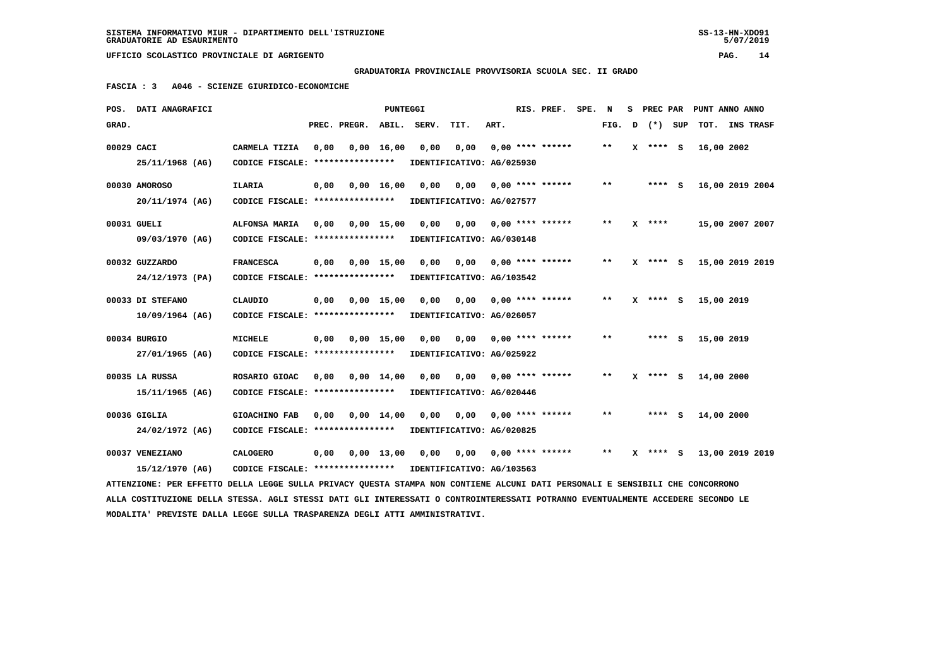**GRADUATORIA PROVINCIALE PROVVISORIA SCUOLA SEC. II GRADO**

 **FASCIA : 3 A046 - SCIENZE GIURIDICO-ECONOMICHE**

|            | POS. DATI ANAGRAFICI                                                                                                            |                                                            |      |                          | PUNTEGGI |                                                                 |      |      | RIS. PREF.                      | SPE. N |        |              | S PREC PAR PUNT ANNO ANNO |  |
|------------|---------------------------------------------------------------------------------------------------------------------------------|------------------------------------------------------------|------|--------------------------|----------|-----------------------------------------------------------------|------|------|---------------------------------|--------|--------|--------------|---------------------------|--|
| GRAD.      |                                                                                                                                 |                                                            |      | PREC. PREGR. ABIL. SERV. |          |                                                                 | TIT. | ART. |                                 |        | FIG. D | (*) SUP      | TOT. INS TRASF            |  |
| 00029 CACI |                                                                                                                                 | CARMELA TIZIA                                              | 0,00 | 0,00 16,00               |          | 0,00                                                            | 0,00 |      | 0,00 **** ******                |        | $* *$  | $X$ **** $S$ | 16,00 2002                |  |
|            | 25/11/1968 (AG)                                                                                                                 | CODICE FISCALE: *****************                          |      |                          |          | IDENTIFICATIVO: AG/025930                                       |      |      |                                 |        |        |              |                           |  |
|            | 00030 AMOROSO                                                                                                                   | ILARIA                                                     | 0,00 |                          |          | 0,00 16,00 0,00                                                 |      |      | $0,00$ $0,00$ **** ******       |        | $***$  | $***$ S      | 16,00 2019 2004           |  |
|            | 20/11/1974 (AG)                                                                                                                 | CODICE FISCALE: **************** IDENTIFICATIVO: AG/027577 |      |                          |          |                                                                 |      |      |                                 |        |        |              |                           |  |
|            | 00031 GUELI                                                                                                                     | ALFONSA MARIA                                              |      |                          |          | 0,00  0,00  15,00  0,00  0,00  0,00  ****  ******               |      |      |                                 |        | **     | $X$ ****     | 15,00 2007 2007           |  |
|            | 09/03/1970 (AG)                                                                                                                 | CODICE FISCALE: ****************                           |      |                          |          | IDENTIFICATIVO: AG/030148                                       |      |      |                                 |        |        |              |                           |  |
|            |                                                                                                                                 |                                                            |      |                          |          |                                                                 |      |      |                                 |        |        |              |                           |  |
|            | 00032 GUZZARDO<br>24/12/1973 (PA)                                                                                               | <b>FRANCESCA</b><br>CODICE FISCALE: *****************      | 0,00 |                          |          | 0,00 15,00 0,00<br>IDENTIFICATIVO: AG/103542                    |      |      | 0,00 0,00 **** ******           |        | $***$  | $X$ **** $S$ | 15,00 2019 2019           |  |
|            |                                                                                                                                 |                                                            |      |                          |          |                                                                 |      |      |                                 |        |        |              |                           |  |
|            | 00033 DI STEFANO                                                                                                                | CLAUDIO                                                    |      |                          |          | 0,00  0,00  15,00  0,00  0,00  0,00  ****  ******               |      |      |                                 |        | $* *$  | X **** S     | 15,00 2019                |  |
|            | 10/09/1964 (AG)                                                                                                                 | CODICE FISCALE: ****************                           |      |                          |          | IDENTIFICATIVO: AG/026057                                       |      |      |                                 |        |        |              |                           |  |
|            | 00034 BURGIO                                                                                                                    | <b>MICHELE</b>                                             | 0,00 |                          |          | 0,00 15,00 0,00                                                 |      |      | $0,00$ $0,00$ **** ******       |        | $***$  | $***$ S      | 15,00 2019                |  |
|            | 27/01/1965 (AG)                                                                                                                 | CODICE FISCALE: *****************                          |      |                          |          | IDENTIFICATIVO: AG/025922                                       |      |      |                                 |        |        |              |                           |  |
|            | 00035 LA RUSSA                                                                                                                  | ROSARIO GIOAC                                              |      |                          |          | 0,00  0,00  14,00  0,00  0,00  0,00  ****  ******               |      |      |                                 |        | $***$  | $X$ **** S   | 14,00 2000                |  |
|            | 15/11/1965 (AG)                                                                                                                 | CODICE FISCALE: *****************                          |      |                          |          | IDENTIFICATIVO: AG/020446                                       |      |      |                                 |        |        |              |                           |  |
|            | 00036 GIGLIA                                                                                                                    | GIOACHINO FAB                                              | 0,00 |                          |          | 0,00 14,00 0,00                                                 |      |      | $0.00$ $0.00$ $***$ **** ****** |        | **     | $***$ S      | 14,00 2000                |  |
|            | 24/02/1972 (AG)                                                                                                                 | CODICE FISCALE: **************** IDENTIFICATIVO: AG/020825 |      |                          |          |                                                                 |      |      |                                 |        |        |              |                           |  |
|            |                                                                                                                                 |                                                            |      |                          |          |                                                                 |      |      |                                 |        |        |              |                           |  |
|            | 00037 VENEZIANO                                                                                                                 | <b>CALOGERO</b>                                            |      |                          |          | $0,00$ $0,00$ $13,00$ $0,00$ $0,00$ $0,00$ $***$ **** ****** ** |      |      |                                 |        |        | X **** S     | 13,00 2019 2019           |  |
|            | 15/12/1970 (AG)                                                                                                                 | CODICE FISCALE: **************** IDENTIFICATIVO: AG/103563 |      |                          |          |                                                                 |      |      |                                 |        |        |              |                           |  |
|            | ATTENZIONE: PER EFFETTO DELLA LEGGE SULLA PRIVACY QUESTA STAMPA NON CONTIENE ALCUNI DATI PERSONALI E SENSIBILI CHE CONCORRONO   |                                                            |      |                          |          |                                                                 |      |      |                                 |        |        |              |                           |  |
|            | ALLA COSTITUZIONE DELLA STESSA. AGLI STESSI DATI GLI INTERESSATI O CONTROINTERESSATI POTRANNO EVENTUALMENTE ACCEDERE SECONDO LE |                                                            |      |                          |          |                                                                 |      |      |                                 |        |        |              |                           |  |

 **MODALITA' PREVISTE DALLA LEGGE SULLA TRASPARENZA DEGLI ATTI AMMINISTRATIVI.**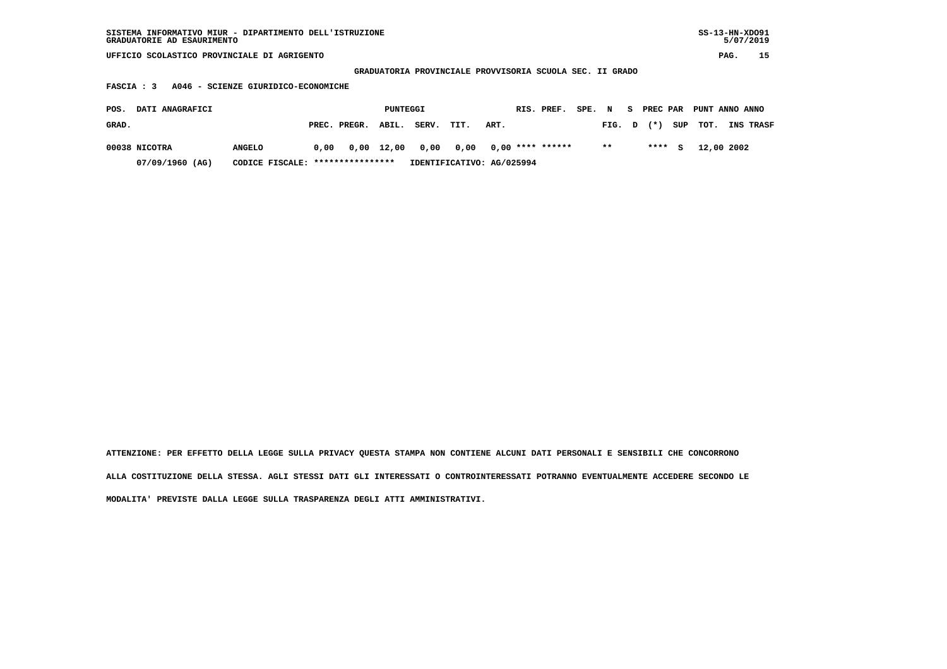| SISTEMA INFORMATIVO MIUR - DIPARTIMENTO DELL'ISTRUZIONE<br>GRADUATORIE AD ESAURIMENTO |                                   |      |              |          |       |                                                          |      |  |                    |        |        |    |          |     | $SS-13-HN-XDO91$ |      | 5/07/2019 |
|---------------------------------------------------------------------------------------|-----------------------------------|------|--------------|----------|-------|----------------------------------------------------------|------|--|--------------------|--------|--------|----|----------|-----|------------------|------|-----------|
| UFFICIO SCOLASTICO PROVINCIALE DI AGRIGENTO                                           |                                   |      |              |          |       |                                                          |      |  |                    |        |        |    |          |     |                  | PAG. | 15        |
|                                                                                       |                                   |      |              |          |       | GRADUATORIA PROVINCIALE PROVVISORIA SCUOLA SEC. II GRADO |      |  |                    |        |        |    |          |     |                  |      |           |
| A046 - SCIENZE GIURIDICO-ECONOMICHE<br>FASCIA : 3                                     |                                   |      |              |          |       |                                                          |      |  |                    |        |        |    |          |     |                  |      |           |
| DATI ANAGRAFICI<br>POS.                                                               |                                   |      |              | PUNTEGGI |       |                                                          |      |  | RIS. PREF.         | SPE. N |        | S. | PREC PAR |     | PUNT ANNO ANNO   |      |           |
| GRAD.                                                                                 |                                   |      | PREC. PREGR. | ABIL.    | SERV. | TIT.                                                     | ART. |  |                    |        | FIG. D |    | $(* )$   | SUP | TOT.             |      | INS TRASF |
| 00038 NICOTRA                                                                         | <b>ANGELO</b>                     | 0.00 | 0,00         | 12,00    | 0,00  | 0,00                                                     |      |  | $0.00$ **** ****** |        | $* *$  |    | ****     | s   | 12,00 2002       |      |           |
| 07/09/1960 (AG)                                                                       | CODICE FISCALE: ***************** |      |              |          |       | IDENTIFICATIVO: AG/025994                                |      |  |                    |        |        |    |          |     |                  |      |           |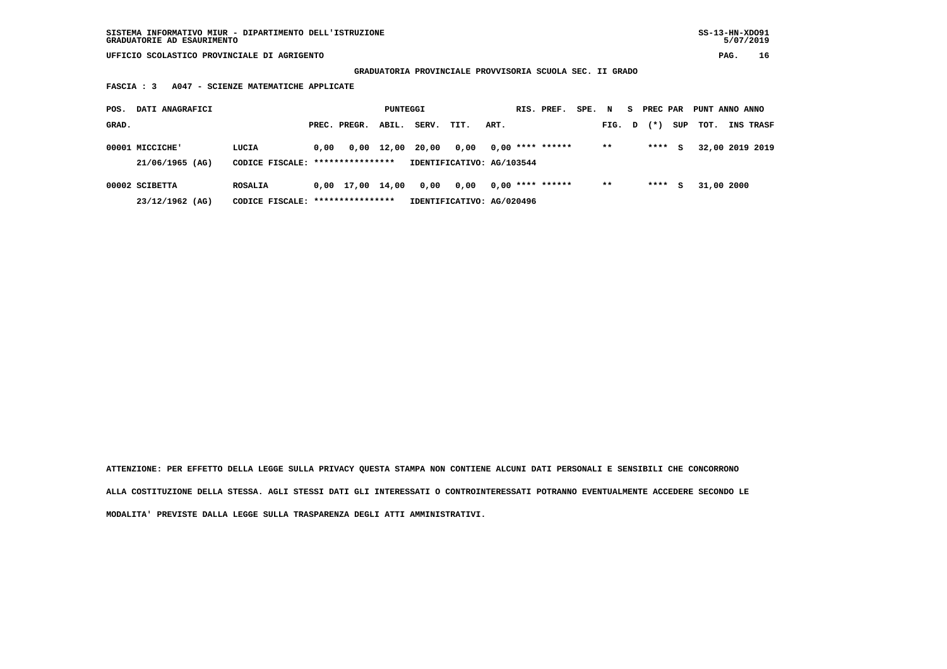**GRADUATORIA PROVINCIALE PROVVISORIA SCUOLA SEC. II GRADO**

 **FASCIA : 3 A047 - SCIENZE MATEMATICHE APPLICATE**

| POS.  | DATI ANAGRAFICI                    |                                           |      |                    | PUNTEGGI   |       |                                   |      | RIS. PREF.         | SPE. | N      | s. | PREC PAR |     | PUNT ANNO ANNO |                 |
|-------|------------------------------------|-------------------------------------------|------|--------------------|------------|-------|-----------------------------------|------|--------------------|------|--------|----|----------|-----|----------------|-----------------|
| GRAD. |                                    |                                           |      | PREC. PREGR.       | ABIL.      | SERV. | TIT.                              | ART. |                    |      | FIG. D |    | $(*)$    | SUP | тот.           | INS TRASF       |
|       | 00001 MICCICHE'<br>21/06/1965 (AG) | LUCIA<br>CODICE FISCALE: **************** | 0.00 |                    | 0,00 12,00 | 20,00 | 0.00<br>IDENTIFICATIVO: AG/103544 |      | $0.00$ **** ****** |      | $* *$  |    | ****     | s   |                | 32,00 2019 2019 |
|       |                                    |                                           |      |                    |            |       |                                   |      |                    |      |        |    |          |     |                |                 |
|       | 00002 SCIBETTA                     | <b>ROSALIA</b>                            |      | $0,00$ 17,00 14,00 |            | 0,00  | 0,00                              |      | $0.00$ **** ****** |      | $***$  |    | ****     | s   | 31,00 2000     |                 |
|       | 23/12/1962 (AG)                    | CODICE FISCALE: *****************         |      |                    |            |       | IDENTIFICATIVO: AG/020496         |      |                    |      |        |    |          |     |                |                 |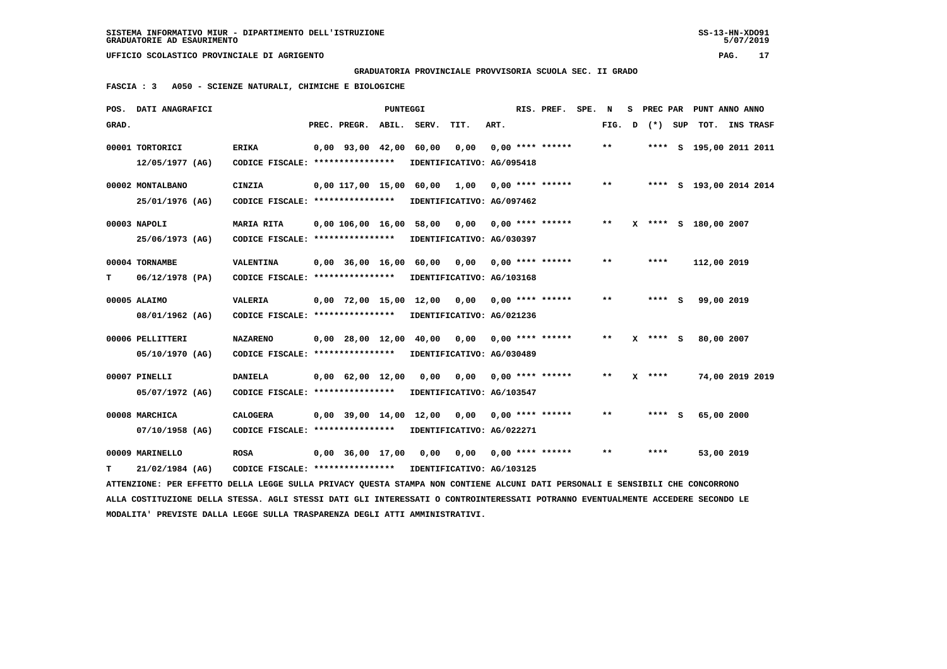**GRADUATORIA PROVINCIALE PROVVISORIA SCUOLA SEC. II GRADO**

 **FASCIA : 3 A050 - SCIENZE NATURALI, CHIMICHE E BIOLOGICHE**

|       | POS. DATI ANAGRAFICI                                                                                                            |                                                            |                                | <b>PUNTEGGI</b> |                        |                           |      | RIS. PREF.                | SPE. | N      | s | <b>PREC PAR</b> |                      | PUNT ANNO ANNO          |
|-------|---------------------------------------------------------------------------------------------------------------------------------|------------------------------------------------------------|--------------------------------|-----------------|------------------------|---------------------------|------|---------------------------|------|--------|---|-----------------|----------------------|-------------------------|
| GRAD. |                                                                                                                                 |                                                            | PREC. PREGR.                   |                 | ABIL. SERV.            | TIT.                      | ART. |                           |      | FIG. D |   | (*) SUP         | TOT.                 | INS TRASF               |
|       | 00001 TORTORICI                                                                                                                 | <b>ERIKA</b>                                               | $0,00$ $93,00$ $42,00$         |                 | 60,00                  | 0,00                      |      | $0.00$ **** ******        |      | $***$  |   |                 |                      | **** S 195,00 2011 2011 |
|       | 12/05/1977 (AG)                                                                                                                 | CODICE FISCALE: ****************                           |                                |                 |                        | IDENTIFICATIVO: AG/095418 |      |                           |      |        |   |                 |                      |                         |
|       | 00002 MONTALBANO                                                                                                                | <b>CINZIA</b>                                              | 0,00 117,00 15,00 60,00        |                 |                        | 1,00                      |      | $0.00$ **** ******        |      | $* *$  |   |                 |                      | **** S 193,00 2014 2014 |
|       | 25/01/1976 (AG)                                                                                                                 | CODICE FISCALE: ****************                           |                                |                 |                        | IDENTIFICATIVO: AG/097462 |      |                           |      |        |   |                 |                      |                         |
|       | 00003 NAPOLI                                                                                                                    | <b>MARIA RITA</b>                                          | 0,00 106,00 16,00              |                 | 58,00                  | 0,00                      |      | $0.00$ **** ******        |      | $***$  |   |                 | X **** S 180,00 2007 |                         |
|       | 25/06/1973 (AG)                                                                                                                 | CODICE FISCALE: *****************                          |                                |                 |                        | IDENTIFICATIVO: AG/030397 |      |                           |      |        |   |                 |                      |                         |
|       | 00004 TORNAMBE                                                                                                                  | VALENTINA                                                  | $0.00$ $36.00$ $16.00$ $60.00$ |                 |                        |                           |      | $0,00$ $0,00$ **** ****** |      | $* *$  |   | ****            | 112,00 2019          |                         |
| т     | $06/12/1978$ (PA)                                                                                                               | CODICE FISCALE: *****************                          |                                |                 |                        | IDENTIFICATIVO: AG/103168 |      |                           |      |        |   |                 |                      |                         |
|       | 00005 ALAIMO                                                                                                                    | VALERIA                                                    | 0,00 72,00 15,00 12,00         |                 |                        | 0,00                      |      | $0.00$ **** ******        |      | $* *$  |   | **** S          | 99,00 2019           |                         |
|       | 08/01/1962 (AG)                                                                                                                 | CODICE FISCALE: ****************                           |                                |                 |                        | IDENTIFICATIVO: AG/021236 |      |                           |      |        |   |                 |                      |                         |
|       | 00006 PELLITTERI                                                                                                                | <b>NAZARENO</b>                                            | $0,00$ 28,00 12,00 40,00       |                 |                        |                           |      | $0,00$ $0,00$ **** ****** |      | **     |   | X **** S        | 80,00 2007           |                         |
|       | 05/10/1970 (AG)                                                                                                                 | CODICE FISCALE: ****************                           |                                |                 |                        | IDENTIFICATIVO: AG/030489 |      |                           |      |        |   |                 |                      |                         |
|       | 00007 PINELLI                                                                                                                   | <b>DANIELA</b>                                             | $0,00$ $62,00$ $12,00$         |                 | 0.00                   | 0.00                      |      | $0.00$ **** ******        |      | $* *$  | x | ****            |                      | 74,00 2019 2019         |
|       | 05/07/1972 (AG)                                                                                                                 | CODICE FISCALE: ****************                           |                                |                 |                        | IDENTIFICATIVO: AG/103547 |      |                           |      |        |   |                 |                      |                         |
|       | 00008 MARCHICA                                                                                                                  | <b>CALOGERA</b>                                            |                                |                 | 0,00 39,00 14,00 12,00 | 0,00                      |      | $0.00$ **** ******        |      | $* *$  |   | **** S          | 65,00 2000           |                         |
|       | 07/10/1958 (AG)                                                                                                                 | CODICE FISCALE: ****************                           |                                |                 |                        | IDENTIFICATIVO: AG/022271 |      |                           |      |        |   |                 |                      |                         |
|       | 00009 MARINELLO                                                                                                                 | <b>ROSA</b>                                                | $0.00$ 36.00 17.00             |                 | 0,00                   | 0,00                      |      | $0.00$ **** ******        |      | $* *$  |   | ****            | 53,00 2019           |                         |
| т     | 21/02/1984 (AG)                                                                                                                 | CODICE FISCALE: **************** IDENTIFICATIVO: AG/103125 |                                |                 |                        |                           |      |                           |      |        |   |                 |                      |                         |
|       | ATTENZIONE: PER EFFETTO DELLA LEGGE SULLA PRIVACY OUESTA STAMPA NON CONTIENE ALCUNI DATI PERSONALI E SENSIBILI CHE CONCORRONO   |                                                            |                                |                 |                        |                           |      |                           |      |        |   |                 |                      |                         |
|       | ALLA COSTITUZIONE DELLA STESSA. AGLI STESSI DATI GLI INTERESSATI O CONTROINTERESSATI POTRANNO EVENTUALMENTE ACCEDERE SECONDO LE |                                                            |                                |                 |                        |                           |      |                           |      |        |   |                 |                      |                         |
|       | MODALITA' PREVISTE DALLA LEGGE SULLA TRASPARENZA DEGLI ATTI AMMINISTRATIVI.                                                     |                                                            |                                |                 |                        |                           |      |                           |      |        |   |                 |                      |                         |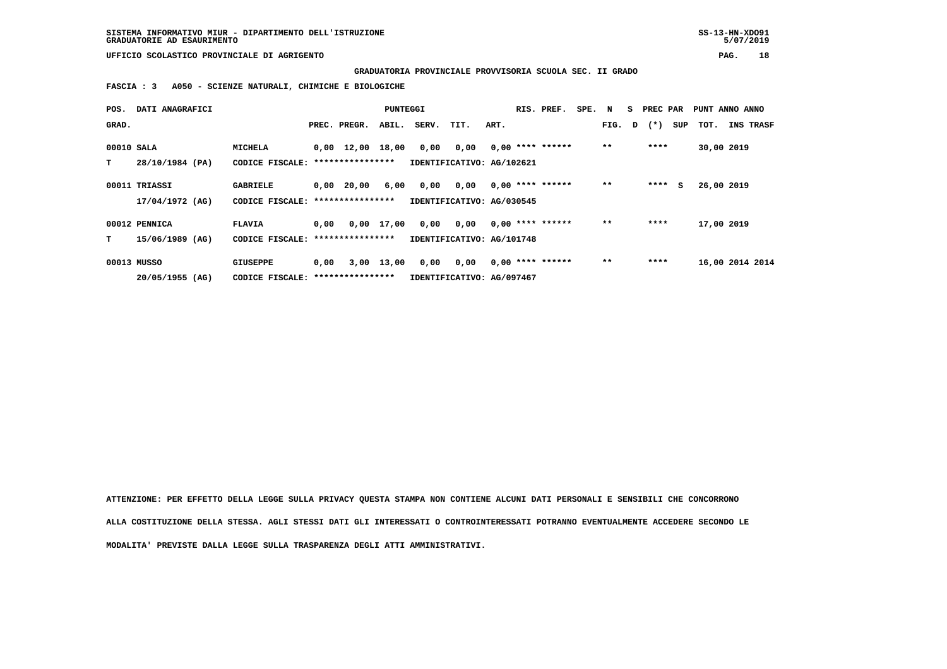**GRADUATORIA PROVINCIALE PROVVISORIA SCUOLA SEC. II GRADO**

 **FASCIA : 3 A050 - SCIENZE NATURALI, CHIMICHE E BIOLOGICHE**

| POS.       | DATI ANAGRAFICI |                                   |      |                                | PUNTEGGI           |       |                           |      | RIS. PREF.         | SPE. | N     | s | PREC PAR       |     | PUNT ANNO ANNO  |           |
|------------|-----------------|-----------------------------------|------|--------------------------------|--------------------|-------|---------------------------|------|--------------------|------|-------|---|----------------|-----|-----------------|-----------|
| GRAD.      |                 |                                   |      | PREC. PREGR.                   | ABIL.              | SERV. | TIT.                      | ART. |                    |      |       |   | FIG. $D$ $(*)$ | SUP | TOT.            | INS TRASF |
| 00010 SALA |                 | MICHELA                           |      | $0,00 \quad 12,00 \quad 18,00$ |                    | 0,00  | 0,00                      |      | $0,00$ **** ****** |      | $* *$ |   | ****           |     | 30,00 2019      |           |
| т          | 28/10/1984 (PA) | CODICE FISCALE: ***************** |      |                                |                    |       | IDENTIFICATIVO: AG/102621 |      |                    |      |       |   |                |     |                 |           |
|            | 00011 TRIASSI   | <b>GABRIELE</b>                   | 0,00 | 20,00                          | 6,00               | 0,00  | 0,00                      |      | $0.00$ **** ****** |      | $* *$ |   | ****           | s   | 26,00 2019      |           |
|            | 17/04/1972 (AG) | CODICE FISCALE: ***************** |      |                                |                    |       | IDENTIFICATIVO: AG/030545 |      |                    |      |       |   |                |     |                 |           |
|            | 00012 PENNICA   | <b>FLAVIA</b>                     | 0,00 |                                | $0,00 \quad 17,00$ | 0,00  | 0,00                      |      | $0.00$ **** ****** |      | $***$ |   | ****           |     | 17,00 2019      |           |
| т          | 15/06/1989 (AG) | CODICE FISCALE: ***************** |      |                                |                    |       | IDENTIFICATIVO: AG/101748 |      |                    |      |       |   |                |     |                 |           |
|            | 00013 MUSSO     | <b>GIUSEPPE</b>                   | 0,00 |                                | $3,00$ 13,00       | 0,00  | 0,00                      |      | $0.00$ **** ****** |      | $***$ |   | ****           |     | 16,00 2014 2014 |           |
|            | 20/05/1955 (AG) | CODICE FISCALE: ***************** |      |                                |                    |       | IDENTIFICATIVO: AG/097467 |      |                    |      |       |   |                |     |                 |           |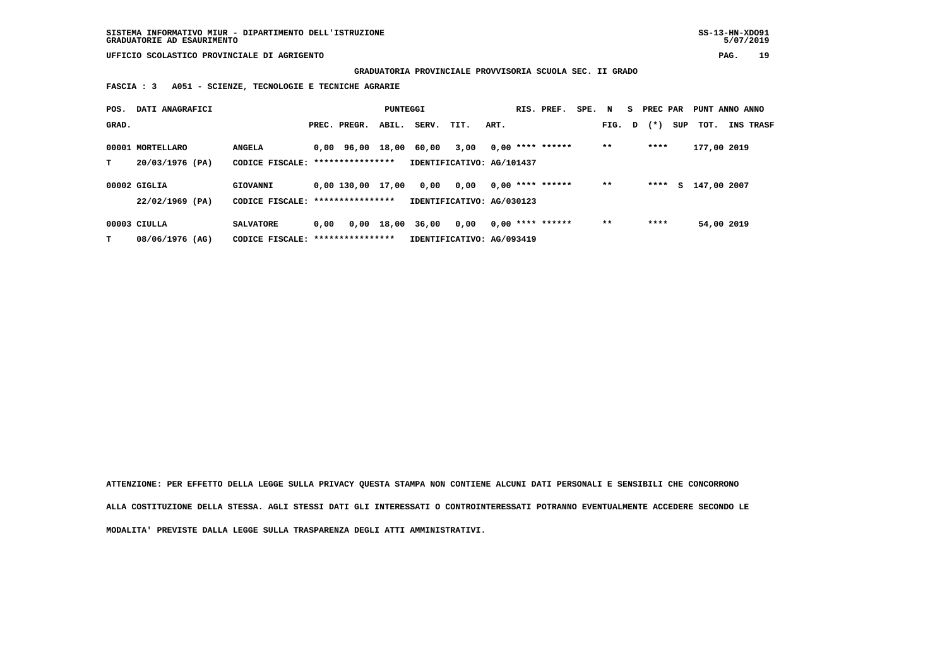**GRADUATORIA PROVINCIALE PROVVISORIA SCUOLA SEC. II GRADO**

 **FASCIA : 3 A051 - SCIENZE, TECNOLOGIE E TECNICHE AGRARIE**

| POS.  | DATI ANAGRAFICI  |                                   |      |                     | PUNTEGGI   |       |                           |      | RIS. PREF.         | SPE. N |        | S PREC PAR |     | PUNT ANNO ANNO |                  |
|-------|------------------|-----------------------------------|------|---------------------|------------|-------|---------------------------|------|--------------------|--------|--------|------------|-----|----------------|------------------|
| GRAD. |                  |                                   |      | PREC. PREGR.        | ABIL.      | SERV. | TIT.                      | ART. |                    |        | FIG. D | $(*)$      | SUP | тот.           | <b>INS TRASF</b> |
|       | 00001 MORTELLARO | <b>ANGELA</b>                     |      | 0,00 96,00 18,00    |            | 60.00 | 3,00                      |      | $0,00$ **** ****** |        | $* *$  | ****       |     | 177,00 2019    |                  |
| т     | 20/03/1976 (PA)  | CODICE FISCALE: ***************** |      |                     |            |       | IDENTIFICATIVO: AG/101437 |      |                    |        |        |            |     |                |                  |
|       | 00002 GIGLIA     | GIOVANNI                          |      | $0.00$ 130.00 17.00 |            | 0,00  | 0,00                      |      | $0,00$ **** ****** |        | $**$   | ****       | S.  | 147,00 2007    |                  |
|       | 22/02/1969 (PA)  | CODICE FISCALE: ****************  |      |                     |            |       | IDENTIFICATIVO: AG/030123 |      |                    |        |        |            |     |                |                  |
|       | $00003$ CIULLA   | <b>SALVATORE</b>                  | 0,00 |                     | 0,00 18,00 | 36,00 | 0,00                      |      | $0,00$ **** ****** |        | $* *$  | ****       |     | 54,00 2019     |                  |
| т     | 08/06/1976 (AG)  | CODICE FISCALE:                   |      | ****************    |            |       | IDENTIFICATIVO: AG/093419 |      |                    |        |        |            |     |                |                  |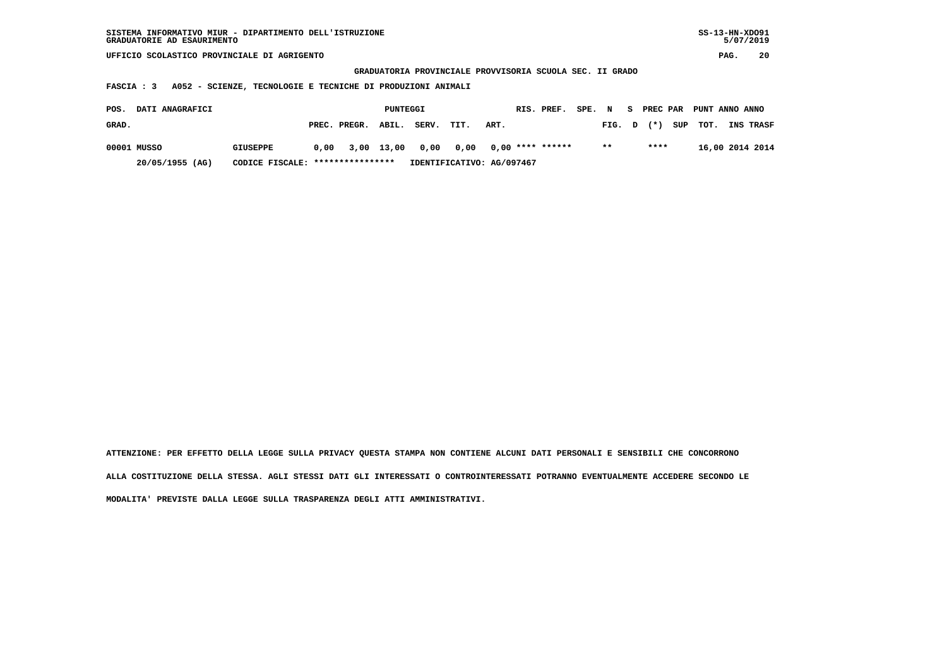| SISTEMA INFORMATIVO MIUR - DIPARTIMENTO DELL'ISTRUZIONE | $SS-13-HN-XDO91$ |
|---------------------------------------------------------|------------------|
| GRADUATORIE AD ESAURIMENTO                              | 5/07/2019        |
|                                                         |                  |

 **GRADUATORIA PROVINCIALE PROVVISORIA SCUOLA SEC. II GRADO**

 **FASCIA : 3 A052 - SCIENZE, TECNOLOGIE E TECNICHE DI PRODUZIONI ANIMALI**

| POS.  | DATI ANAGRAFICI |                                  |      |                    | PUNTEGGI |            |                           |      | RIS. PREF.       | SPE. N |       |      | S PREC PAR PUNT ANNO ANNO |                  |
|-------|-----------------|----------------------------------|------|--------------------|----------|------------|---------------------------|------|------------------|--------|-------|------|---------------------------|------------------|
| GRAD. |                 |                                  |      | PREC. PREGR. ABIL. |          | SERV. TIT. |                           | ART. |                  |        |       |      | FIG. $D$ $(*)$ SUP TOT.   | <b>INS TRASF</b> |
|       | 00001 MUSSO     | <b>GIUSEPPE</b>                  | 0.00 | 3,00 13,00         |          | 0,00 0,00  |                           |      | 0,00 **** ****** |        | $* *$ | **** |                           | 16,00 2014 2014  |
|       | 20/05/1955 (AG) | CODICE FISCALE: **************** |      |                    |          |            | IDENTIFICATIVO: AG/097467 |      |                  |        |       |      |                           |                  |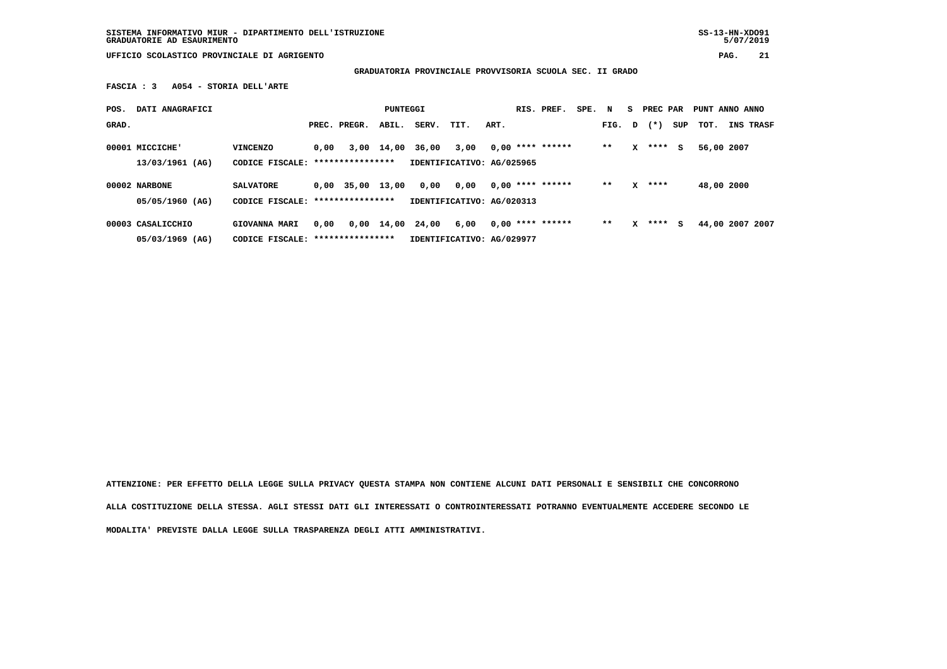**SISTEMA INFORMATIVO MIUR - DIPARTIMENTO DELL'ISTRUZIONE SS-13-HN-XDO91 GRADUATORIE AD ESAURIMENTO 5/07/2019**

 $5/07/2019$ 

 **UFFICIO SCOLASTICO PROVINCIALE DI AGRIGENTO PAG. 21**

 **GRADUATORIA PROVINCIALE PROVVISORIA SCUOLA SEC. II GRADO**

 **FASCIA : 3 A054 - STORIA DELL'ARTE**

| POS.  | DATI ANAGRAFICI                      |                                                   |      |                                        | PUNTEGGI   |                  |                                   |      | RIS. PREF.         | SPE. N |        | S. | PREC PAR |     | PUNT ANNO ANNO  |           |
|-------|--------------------------------------|---------------------------------------------------|------|----------------------------------------|------------|------------------|-----------------------------------|------|--------------------|--------|--------|----|----------|-----|-----------------|-----------|
| GRAD. |                                      |                                                   |      | PREC. PREGR.                           | ABIL.      | SERV.            | TIT.                              | ART. |                    |        | FIG. D |    | $(*)$    | SUP | тот.            | INS TRASF |
|       | 00001 MICCICHE'<br>$13/03/1961$ (AG) | <b>VINCENZO</b><br>CODICE FISCALE:                | 0.00 | ****************                       | 3,00 14,00 | 36,00            | 3,00<br>IDENTIFICATIVO: AG/025965 |      | $0,00$ **** ****** |        | $* *$  | x  | ****     | s   | 56,00 2007      |           |
|       | 00002 NARBONE<br>05/05/1960 (AG)     | <b>SALVATORE</b><br>CODICE FISCALE:               |      | $0.00$ 35,00 13,00<br>**************** |            | 0,00             | 0,00<br>IDENTIFICATIVO: AG/020313 |      | $0.00$ **** ****** |        | $**$   | x  | ****     |     | 48,00 2000      |           |
|       | 00003 CASALICCHIO<br>05/03/1969 (AG) | GIOVANNA MARI<br>CODICE FISCALE: **************** | 0.00 |                                        |            | 0,00 14,00 24,00 | 6,00<br>IDENTIFICATIVO: AG/029977 |      | $0,00$ **** ****** |        | $**$   | x  | ****     | s   | 44,00 2007 2007 |           |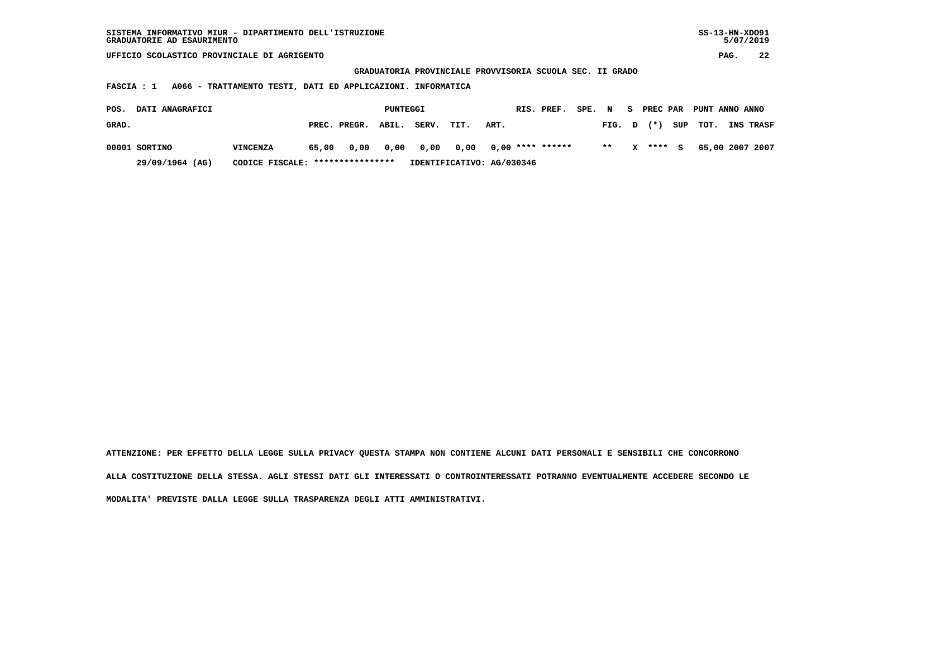| SISTEMA INFORMATIVO MIUR - DIPARTIMENTO DELL'ISTRUZIONE | $SS-13-HN-XDO91$ |
|---------------------------------------------------------|------------------|
| GRADUATORIE AD ESAURIMENTO                              | 5/07/2019        |

 **GRADUATORIA PROVINCIALE PROVVISORIA SCUOLA SEC. II GRADO**

 **FASCIA : 1 A066 - TRATTAMENTO TESTI, DATI ED APPLICAZIONI. INFORMATICA**

| POS.  | <b>DATI ANAGRAFICI</b> | PUNTEGGI                         |                           |              | RIS. PREF. | SPE. N         |      |      | S PREC PAR PUNT ANNO ANNO |  |        |          |          |                 |
|-------|------------------------|----------------------------------|---------------------------|--------------|------------|----------------|------|------|---------------------------|--|--------|----------|----------|-----------------|
| GRAD. |                        |                                  |                           | PREC. PREGR. | ABIL.      | SERV.          | TIT. | ART. |                           |  | FIG. D | $(*)$    | SUP TOT. | INS TRASF       |
|       | 00001 SORTINO          | <b>VINCENZA</b>                  | 65,00                     |              |            | 0,00 0,00 0,00 |      |      |                           |  | $***$  | X **** S |          | 65,00 2007 2007 |
|       | 29/09/1964 (AG)        | CODICE FISCALE: **************** | IDENTIFICATIVO: AG/030346 |              |            |                |      |      |                           |  |        |          |          |                 |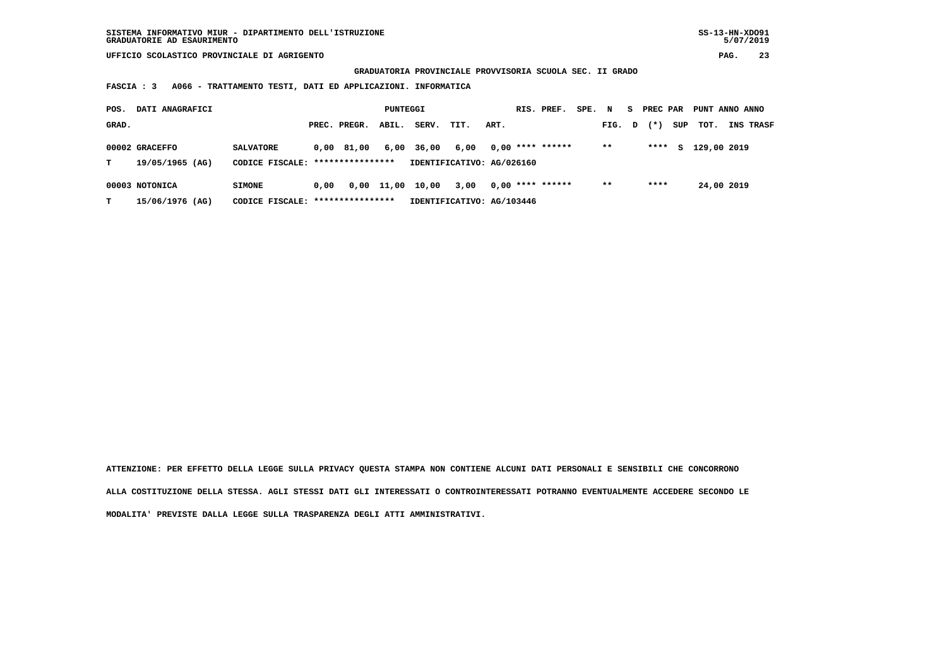**GRADUATORIA PROVINCIALE PROVVISORIA SCUOLA SEC. II GRADO**

 **FASCIA : 3 A066 - TRATTAMENTO TESTI, DATI ED APPLICAZIONI. INFORMATICA**

| POS.  | DATI ANAGRAFICI                   | PUNTEGGI                                             |      |                          |       |       |                                   |      | RIS. PREF. | SPE.               | N | S.    | PREC PAR |        | PUNT ANNO ANNO |             |                  |
|-------|-----------------------------------|------------------------------------------------------|------|--------------------------|-------|-------|-----------------------------------|------|------------|--------------------|---|-------|----------|--------|----------------|-------------|------------------|
| GRAD. |                                   |                                                      |      | PREC. PREGR.             | ABIL. | SERV. | TIT.                              | ART. |            |                    |   | FIG.  | D        | $(* )$ | SUP            | тот.        | <b>INS TRASF</b> |
| т     | 00002 GRACEFFO<br>19/05/1965 (AG) | <b>SALVATORE</b><br>CODICE FISCALE: **************** |      | 0.00 81.00               | 6,00  | 36,00 | 6,00<br>IDENTIFICATIVO: AG/026160 |      |            | $0.00$ **** ****** |   | $* *$ |          | ****   | s              | 129,00 2019 |                  |
| т     | 00003 NOTONICA<br>15/06/1976 (AG) | <b>SIMONE</b><br>CODICE FISCALE:                     | 0.00 | 0,00<br>**************** | 11,00 | 10,00 | 3,00<br>IDENTIFICATIVO: AG/103446 |      |            | $0,00$ **** ****** |   | $* *$ |          | ****   |                | 24,00 2019  |                  |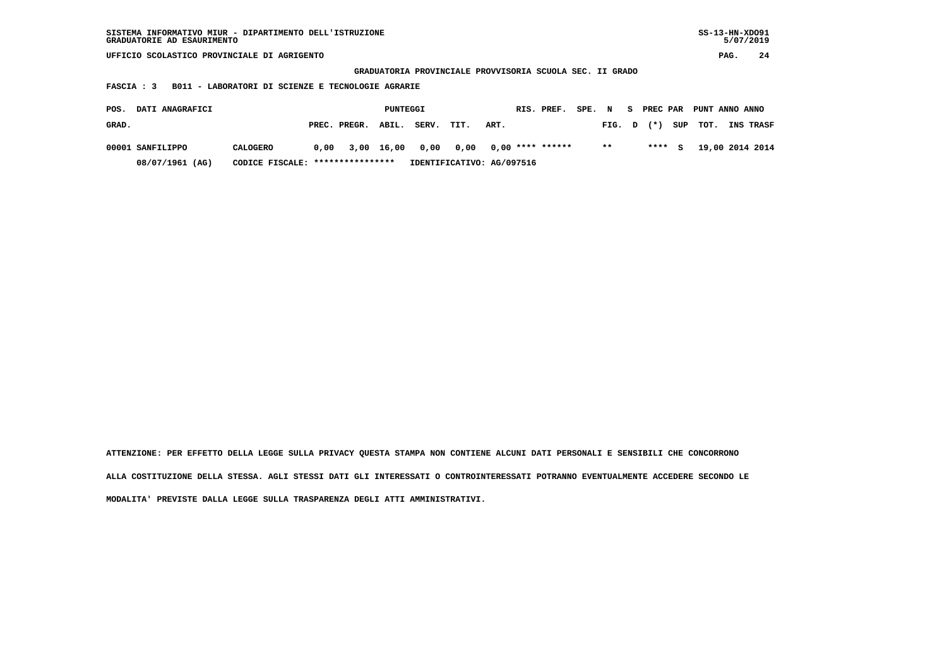| GRADUATORIE AD ESAURIMENTO                                             | SISTEMA INFORMATIVO MIUR - DIPARTIMENTO DELL'ISTRUZIONE |      |              |            |       |                           |      |  |                    |        |       |    |          |     |                 | $SS-13-HN-XDO91$<br>5/07/2019 |           |  |  |
|------------------------------------------------------------------------|---------------------------------------------------------|------|--------------|------------|-------|---------------------------|------|--|--------------------|--------|-------|----|----------|-----|-----------------|-------------------------------|-----------|--|--|
|                                                                        | UFFICIO SCOLASTICO PROVINCIALE DI AGRIGENTO             |      |              |            |       |                           |      |  |                    |        |       |    |          |     |                 | PAG.                          | 24        |  |  |
| GRADUATORIA PROVINCIALE PROVVISORIA SCUOLA SEC. II GRADO               |                                                         |      |              |            |       |                           |      |  |                    |        |       |    |          |     |                 |                               |           |  |  |
| B011 - LABORATORI DI SCIENZE E TECNOLOGIE AGRARIE<br><b>FASCIA : 3</b> |                                                         |      |              |            |       |                           |      |  |                    |        |       |    |          |     |                 |                               |           |  |  |
|                                                                        |                                                         |      |              |            |       |                           |      |  |                    |        |       |    |          |     |                 |                               |           |  |  |
| DATI ANAGRAFICI<br>POS.                                                |                                                         |      |              | PUNTEGGI   |       |                           |      |  | RIS. PREF.         | SPE. N |       | S. | PREC PAR |     | PUNT ANNO ANNO  |                               |           |  |  |
| GRAD.                                                                  |                                                         |      | PREC. PREGR. | ABIL.      | SERV. | TIT.                      | ART. |  |                    |        | FIG.  | D  | $(* )$   | SUP | TOT.            |                               | INS TRASF |  |  |
| 00001 SANFILIPPO                                                       | CALOGERO                                                | 0.00 |              | 3,00 16,00 | 0,00  | 0,00                      |      |  | $0.00$ **** ****** |        | $***$ |    | ****     | s   | 19,00 2014 2014 |                               |           |  |  |
| 08/07/1961 (AG)                                                        | CODICE FISCALE: *****************                       |      |              |            |       | IDENTIFICATIVO: AG/097516 |      |  |                    |        |       |    |          |     |                 |                               |           |  |  |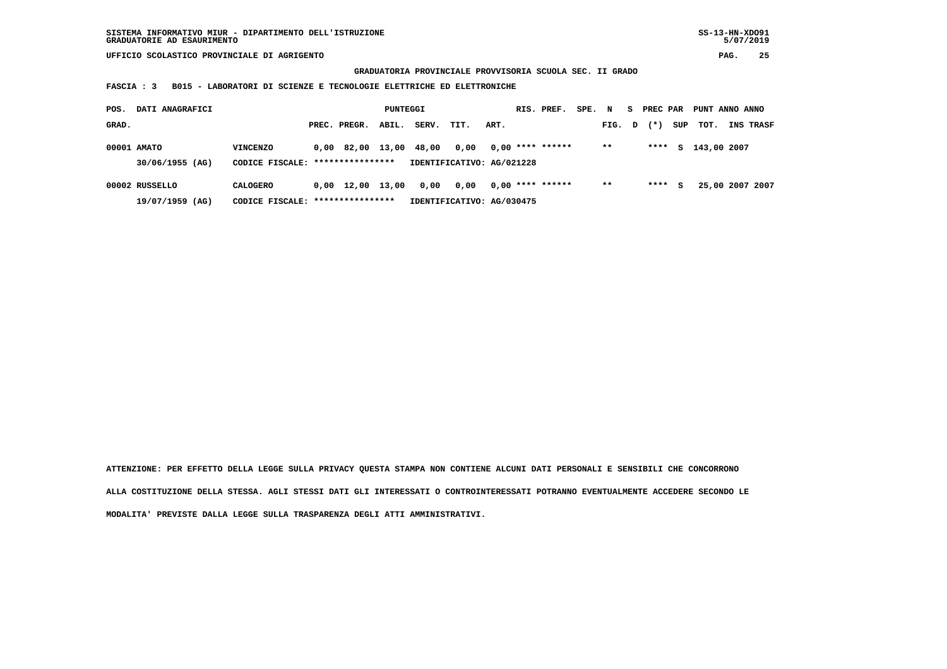**GRADUATORIA PROVINCIALE PROVVISORIA SCUOLA SEC. II GRADO**

 **FASCIA : 3 B015 - LABORATORI DI SCIENZE E TECNOLOGIE ELETTRICHE ED ELETTRONICHE**

| DATI ANAGRAFICI<br>POS. |                                     |                                                     |  | PUNTEGGI                       |       |       |                                   |      |  | RIS. PREF.         | SPE. | N     | s            | PREC PAR |     | PUNT ANNO ANNO |                 |
|-------------------------|-------------------------------------|-----------------------------------------------------|--|--------------------------------|-------|-------|-----------------------------------|------|--|--------------------|------|-------|--------------|----------|-----|----------------|-----------------|
| GRAD.                   |                                     |                                                     |  | PREC. PREGR.                   | ABIL. | SERV. | TIT.                              | ART. |  |                    |      | FIG.  | $\mathbf{D}$ | $(* )$   | SUP | тот.           | INS TRASF       |
|                         | 00001 AMATO<br>30/06/1955 (AG)      | VINCENZO<br>CODICE FISCALE: ****************        |  | 0,00 82,00 13,00               |       | 48,00 | 0,00<br>IDENTIFICATIVO: AG/021228 |      |  | $0.00$ **** ****** |      | $* *$ |              | ****     | S.  | 143,00 2007    |                 |
|                         | 00002 RUSSELLO<br>$19/07/1959$ (AG) | <b>CALOGERO</b><br>CODICE FISCALE: **************** |  | $0,00 \quad 12,00 \quad 13,00$ |       | 0,00  | 0.00<br>IDENTIFICATIVO: AG/030475 |      |  | $0.00$ **** ****** |      | $* *$ |              | ****     | s   |                | 25,00 2007 2007 |